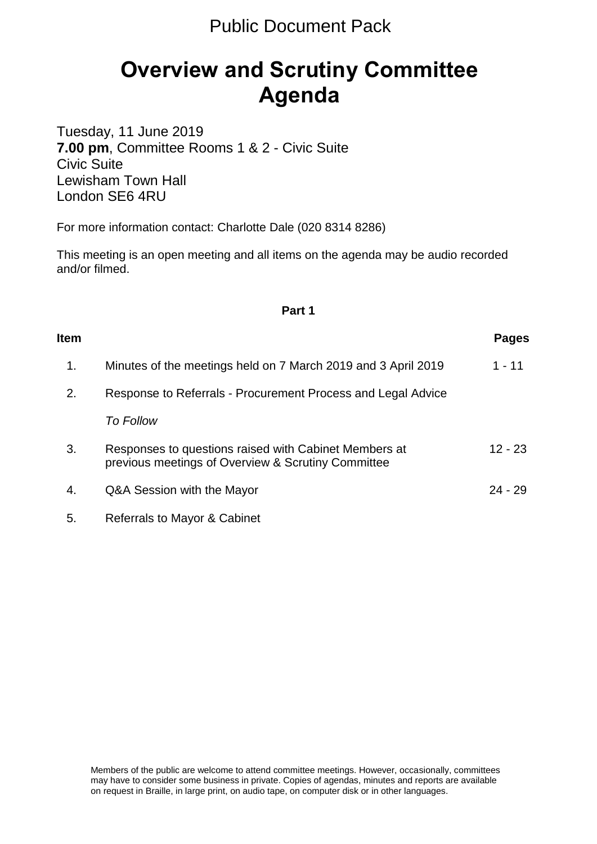# **Overview and Scrutiny Committee Agenda**

Tuesday, 11 June 2019 **7.00 pm**, Committee Rooms 1 & 2 - Civic Suite Civic Suite Lewisham Town Hall London SE6 4RU

For more information contact: Charlotte Dale (020 8314 8286)

This meeting is an open meeting and all items on the agenda may be audio recorded and/or filmed.

#### **Part 1**

| <b>Item</b> |                                                                                                             | Pages     |
|-------------|-------------------------------------------------------------------------------------------------------------|-----------|
| 1.          | Minutes of the meetings held on 7 March 2019 and 3 April 2019                                               | $1 - 11$  |
| 2.          | Response to Referrals - Procurement Process and Legal Advice                                                |           |
|             | <b>To Follow</b>                                                                                            |           |
| 3.          | Responses to questions raised with Cabinet Members at<br>previous meetings of Overview & Scrutiny Committee | $12 - 23$ |
| 4.          | Q&A Session with the Mayor                                                                                  | $24 - 29$ |
| 5.          | Referrals to Mayor & Cabinet                                                                                |           |

Members of the public are welcome to attend committee meetings. However, occasionally, committees may have to consider some business in private. Copies of agendas, minutes and reports are available on request in Braille, in large print, on audio tape, on computer disk or in other languages.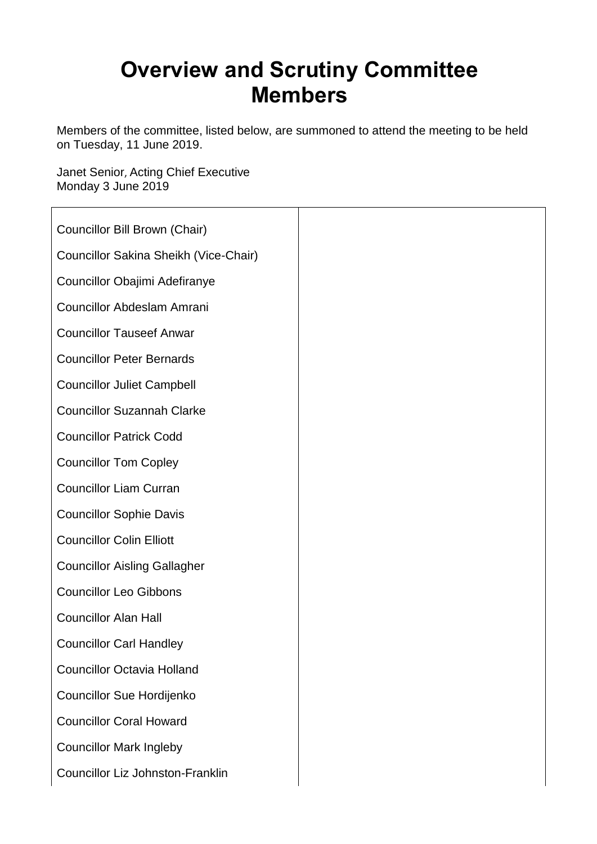# **Overview and Scrutiny Committee Members**

Members of the committee, listed below, are summoned to attend the meeting to be held on Tuesday, 11 June 2019.

Janet Senior, Acting Chief Executive Monday 3 June 2019

| Councillor Bill Brown (Chair)           |
|-----------------------------------------|
| Councillor Sakina Sheikh (Vice-Chair)   |
| Councillor Obajimi Adefiranye           |
| <b>Councillor Abdeslam Amrani</b>       |
| <b>Councillor Tauseef Anwar</b>         |
| <b>Councillor Peter Bernards</b>        |
| <b>Councillor Juliet Campbell</b>       |
| <b>Councillor Suzannah Clarke</b>       |
| <b>Councillor Patrick Codd</b>          |
| <b>Councillor Tom Copley</b>            |
| <b>Councillor Liam Curran</b>           |
| <b>Councillor Sophie Davis</b>          |
| <b>Councillor Colin Elliott</b>         |
| <b>Councillor Aisling Gallagher</b>     |
| <b>Councillor Leo Gibbons</b>           |
| <b>Councillor Alan Hall</b>             |
| <b>Councillor Carl Handley</b>          |
| <b>Councillor Octavia Holland</b>       |
| Councillor Sue Hordijenko               |
| <b>Councillor Coral Howard</b>          |
| <b>Councillor Mark Ingleby</b>          |
| <b>Councillor Liz Johnston-Franklin</b> |
|                                         |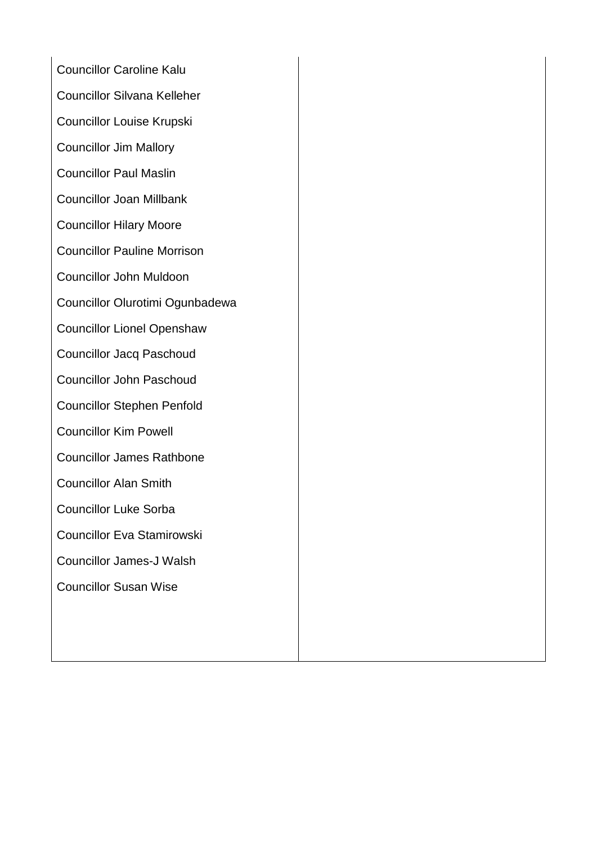Councillor Caroline Kalu Councillor Silvana Kelleher Councillor Louise Krupski Councillor Jim Mallory Councillor Paul Maslin Councillor Joan Millbank Councillor Hilary Moore Councillor Pauline Morrison Councillor John Muldoon Councillor Olurotimi Ogunbadewa Councillor Lionel Openshaw Councillor Jacq Paschoud Councillor John Paschoud Councillor Stephen Penfold Councillor Kim Powell Councillor James Rathbone Councillor Alan Smith Councillor Luke Sorba Councillor Eva Stamirowski Councillor James-J Walsh Councillor Susan Wise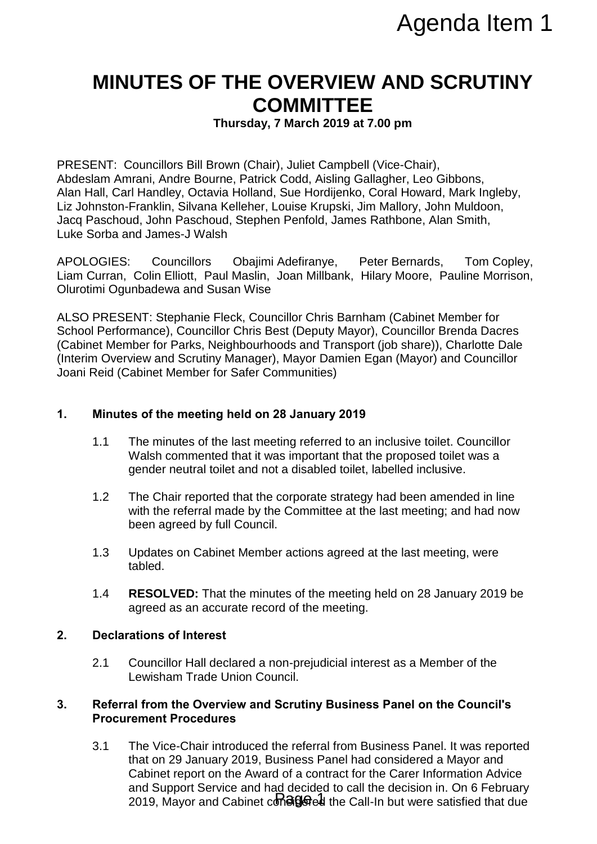## **MINUTES OF THE OVERVIEW AND SCRUTINY COMMITTEE**

**Thursday, 7 March 2019 at 7.00 pm**

PRESENT: Councillors Bill Brown (Chair), Juliet Campbell (Vice-Chair), Abdeslam Amrani, Andre Bourne, Patrick Codd, Aisling Gallagher, Leo Gibbons, Alan Hall, Carl Handley, Octavia Holland, Sue Hordijenko, Coral Howard, Mark Ingleby, Liz Johnston-Franklin, Silvana Kelleher, Louise Krupski, Jim Mallory, John Muldoon, Jacq Paschoud, John Paschoud, Stephen Penfold, James Rathbone, Alan Smith, Luke Sorba and James-J Walsh

APOLOGIES: Councillors Obajimi Adefiranye, Peter Bernards, Tom Copley, Liam Curran, Colin Elliott, Paul Maslin, Joan Millbank, Hilary Moore, Pauline Morrison, Olurotimi Ogunbadewa and Susan Wise

ALSO PRESENT: Stephanie Fleck, Councillor Chris Barnham (Cabinet Member for School Performance), Councillor Chris Best (Deputy Mayor), Councillor Brenda Dacres (Cabinet Member for Parks, Neighbourhoods and Transport (job share)), Charlotte Dale (Interim Overview and Scrutiny Manager), Mayor Damien Egan (Mayor) and Councillor Joani Reid (Cabinet Member for Safer Communities)

#### **1. Minutes of the meeting held on 28 January 2019**

- 1.1 The minutes of the last meeting referred to an inclusive toilet. Councillor Walsh commented that it was important that the proposed toilet was a gender neutral toilet and not a disabled toilet, labelled inclusive.
- 1.2 The Chair reported that the corporate strategy had been amended in line with the referral made by the Committee at the last meeting; and had now been agreed by full Council.
- 1.3 Updates on Cabinet Member actions agreed at the last meeting, were tabled.
- 1.4 **RESOLVED:** That the minutes of the meeting held on 28 January 2019 be agreed as an accurate record of the meeting.

#### **2. Declarations of Interest**

2.1 Councillor Hall declared a non-prejudicial interest as a Member of the Lewisham Trade Union Council.

#### **3. Referral from the Overview and Scrutiny Business Panel on the Council's Procurement Procedures**

3.1 The Vice-Chair introduced the referral from Business Panel. It was reported that on 29 January 2019, Business Panel had considered a Mayor and Cabinet report on the Award of a contract for the Carer Information Advice and Support Service and had decided to call the decision in. On 6 February 2019, Mayor and Cabinet consige of the Call-In but were satisfied that due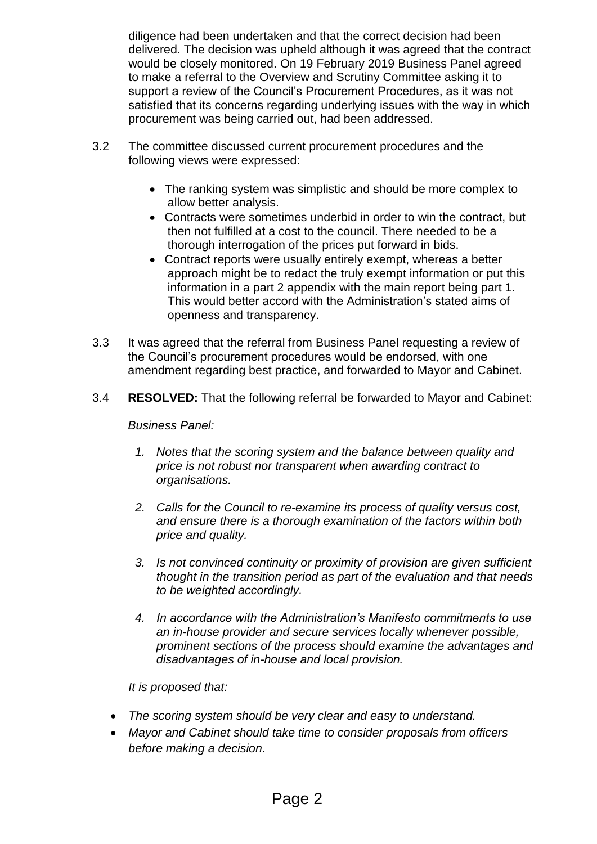diligence had been undertaken and that the correct decision had been delivered. The decision was upheld although it was agreed that the contract would be closely monitored. On 19 February 2019 Business Panel agreed to make a referral to the Overview and Scrutiny Committee asking it to support a review of the Council's Procurement Procedures, as it was not satisfied that its concerns regarding underlying issues with the way in which procurement was being carried out, had been addressed.

- 3.2 The committee discussed current procurement procedures and the following views were expressed:
	- The ranking system was simplistic and should be more complex to allow better analysis.
	- Contracts were sometimes underbid in order to win the contract, but then not fulfilled at a cost to the council. There needed to be a thorough interrogation of the prices put forward in bids.
	- Contract reports were usually entirely exempt, whereas a better approach might be to redact the truly exempt information or put this information in a part 2 appendix with the main report being part 1. This would better accord with the Administration's stated aims of openness and transparency.
- 3.3 It was agreed that the referral from Business Panel requesting a review of the Council's procurement procedures would be endorsed, with one amendment regarding best practice, and forwarded to Mayor and Cabinet.
- 3.4 **RESOLVED:** That the following referral be forwarded to Mayor and Cabinet:

*Business Panel:*

- *1. Notes that the scoring system and the balance between quality and price is not robust nor transparent when awarding contract to organisations.*
- *2. Calls for the Council to re-examine its process of quality versus cost, and ensure there is a thorough examination of the factors within both price and quality.*
- *3. Is not convinced continuity or proximity of provision are given sufficient thought in the transition period as part of the evaluation and that needs to be weighted accordingly.*
- *4. In accordance with the Administration's Manifesto commitments to use an in-house provider and secure services locally whenever possible, prominent sections of the process should examine the advantages and disadvantages of in-house and local provision.*

#### *It is proposed that:*

- *The scoring system should be very clear and easy to understand.*
- *Mayor and Cabinet should take time to consider proposals from officers before making a decision.*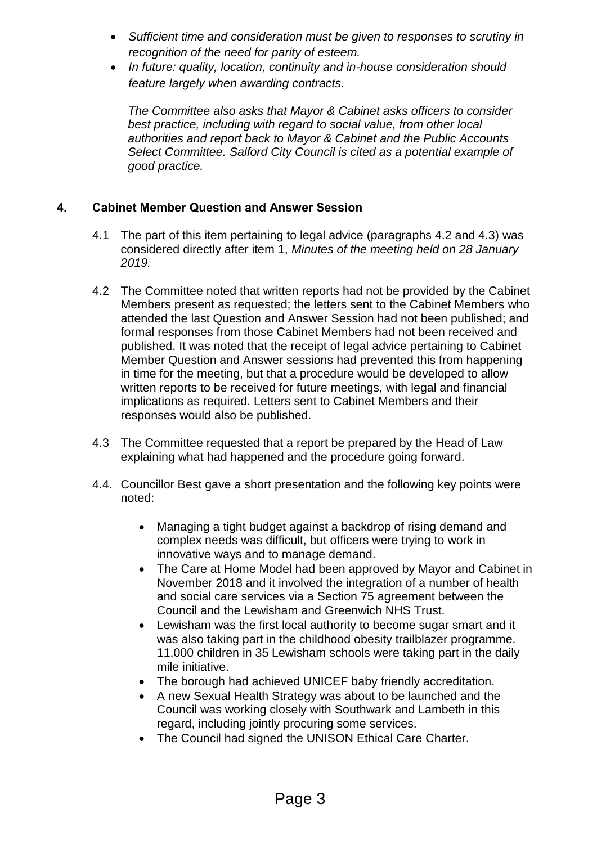- *Sufficient time and consideration must be given to responses to scrutiny in recognition of the need for parity of esteem.*
- *In future: quality, location, continuity and in-house consideration should feature largely when awarding contracts.*

*The Committee also asks that Mayor & Cabinet asks officers to consider best practice, including with regard to social value, from other local authorities and report back to Mayor & Cabinet and the Public Accounts Select Committee. Salford City Council is cited as a potential example of good practice.*

### **4. Cabinet Member Question and Answer Session**

- 4.1 The part of this item pertaining to legal advice (paragraphs 4.2 and 4.3) was considered directly after item 1, *Minutes of the meeting held on 28 January 2019.*
- 4.2 The Committee noted that written reports had not be provided by the Cabinet Members present as requested; the letters sent to the Cabinet Members who attended the last Question and Answer Session had not been published; and formal responses from those Cabinet Members had not been received and published. It was noted that the receipt of legal advice pertaining to Cabinet Member Question and Answer sessions had prevented this from happening in time for the meeting, but that a procedure would be developed to allow written reports to be received for future meetings, with legal and financial implications as required. Letters sent to Cabinet Members and their responses would also be published.
- 4.3 The Committee requested that a report be prepared by the Head of Law explaining what had happened and the procedure going forward.
- 4.4. Councillor Best gave a short presentation and the following key points were noted:
	- Managing a tight budget against a backdrop of rising demand and complex needs was difficult, but officers were trying to work in innovative ways and to manage demand.
	- The Care at Home Model had been approved by Mayor and Cabinet in November 2018 and it involved the integration of a number of health and social care services via a Section 75 agreement between the Council and the Lewisham and Greenwich NHS Trust.
	- Lewisham was the first local authority to become sugar smart and it was also taking part in the childhood obesity trailblazer programme. 11,000 children in 35 Lewisham schools were taking part in the daily mile initiative.
	- The borough had achieved UNICEF baby friendly accreditation.
	- A new Sexual Health Strategy was about to be launched and the Council was working closely with Southwark and Lambeth in this regard, including jointly procuring some services.
	- The Council had signed the UNISON Ethical Care Charter.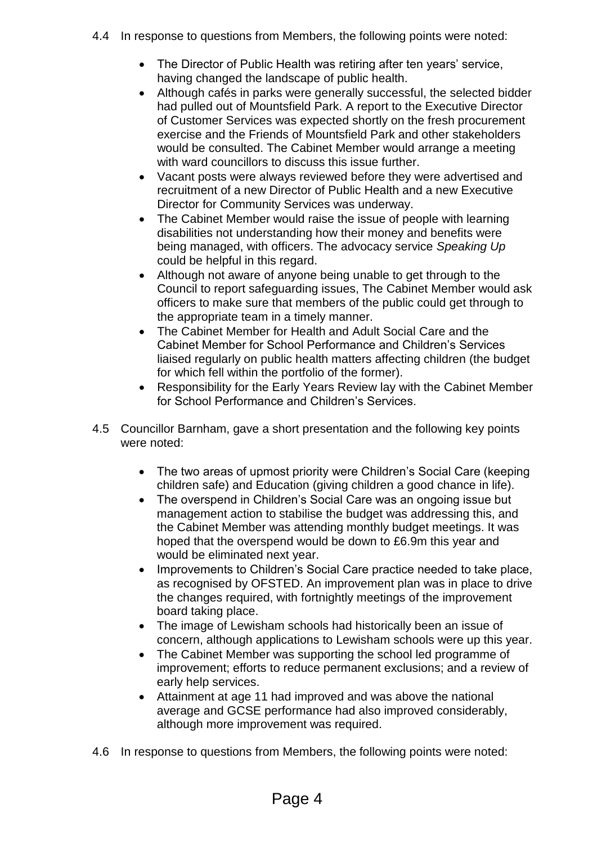- 4.4 In response to questions from Members, the following points were noted:
	- The Director of Public Health was retiring after ten years' service, having changed the landscape of public health.
	- Although cafés in parks were generally successful, the selected bidder had pulled out of Mountsfield Park. A report to the Executive Director of Customer Services was expected shortly on the fresh procurement exercise and the Friends of Mountsfield Park and other stakeholders would be consulted. The Cabinet Member would arrange a meeting with ward councillors to discuss this issue further.
	- Vacant posts were always reviewed before they were advertised and recruitment of a new Director of Public Health and a new Executive Director for Community Services was underway.
	- The Cabinet Member would raise the issue of people with learning disabilities not understanding how their money and benefits were being managed, with officers. The advocacy service *Speaking Up*  could be helpful in this regard.
	- Although not aware of anyone being unable to get through to the Council to report safeguarding issues, The Cabinet Member would ask officers to make sure that members of the public could get through to the appropriate team in a timely manner.
	- The Cabinet Member for Health and Adult Social Care and the Cabinet Member for School Performance and Children's Services liaised regularly on public health matters affecting children (the budget for which fell within the portfolio of the former).
	- Responsibility for the Early Years Review lay with the Cabinet Member for School Performance and Children's Services.
- 4.5 Councillor Barnham, gave a short presentation and the following key points were noted:
	- The two areas of upmost priority were Children's Social Care (keeping children safe) and Education (giving children a good chance in life).
	- The overspend in Children's Social Care was an ongoing issue but management action to stabilise the budget was addressing this, and the Cabinet Member was attending monthly budget meetings. It was hoped that the overspend would be down to £6.9m this year and would be eliminated next year.
	- Improvements to Children's Social Care practice needed to take place, as recognised by OFSTED. An improvement plan was in place to drive the changes required, with fortnightly meetings of the improvement board taking place.
	- The image of Lewisham schools had historically been an issue of concern, although applications to Lewisham schools were up this year.
	- The Cabinet Member was supporting the school led programme of improvement; efforts to reduce permanent exclusions; and a review of early help services.
	- Attainment at age 11 had improved and was above the national average and GCSE performance had also improved considerably, although more improvement was required.
- 4.6 In response to questions from Members, the following points were noted: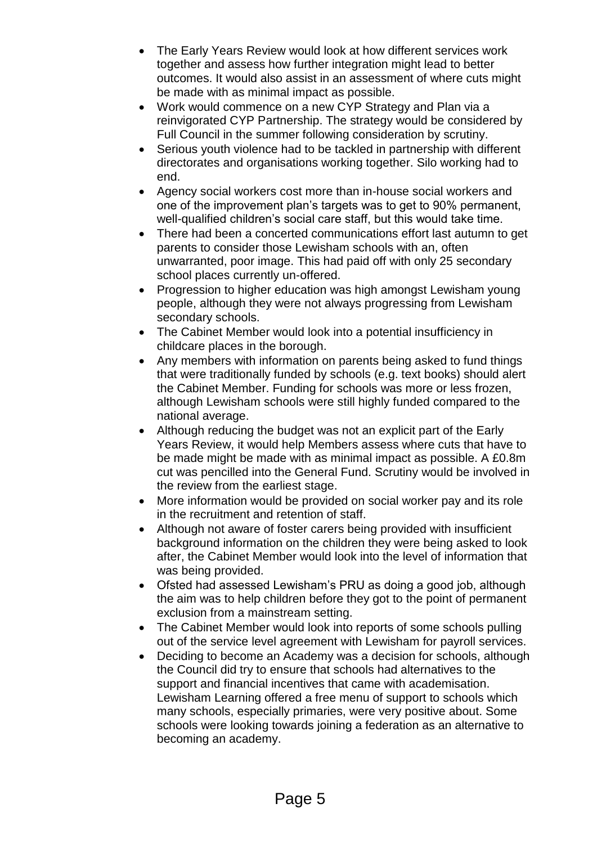- The Early Years Review would look at how different services work together and assess how further integration might lead to better outcomes. It would also assist in an assessment of where cuts might be made with as minimal impact as possible.
- Work would commence on a new CYP Strategy and Plan via a reinvigorated CYP Partnership. The strategy would be considered by Full Council in the summer following consideration by scrutiny.
- Serious youth violence had to be tackled in partnership with different directorates and organisations working together. Silo working had to end.
- Agency social workers cost more than in-house social workers and one of the improvement plan's targets was to get to 90% permanent, well-qualified children's social care staff, but this would take time.
- There had been a concerted communications effort last autumn to get parents to consider those Lewisham schools with an, often unwarranted, poor image. This had paid off with only 25 secondary school places currently un-offered.
- Progression to higher education was high amongst Lewisham young people, although they were not always progressing from Lewisham secondary schools.
- The Cabinet Member would look into a potential insufficiency in childcare places in the borough.
- Any members with information on parents being asked to fund things that were traditionally funded by schools (e.g. text books) should alert the Cabinet Member. Funding for schools was more or less frozen, although Lewisham schools were still highly funded compared to the national average.
- Although reducing the budget was not an explicit part of the Early Years Review, it would help Members assess where cuts that have to be made might be made with as minimal impact as possible. A £0.8m cut was pencilled into the General Fund. Scrutiny would be involved in the review from the earliest stage.
- More information would be provided on social worker pay and its role in the recruitment and retention of staff.
- Although not aware of foster carers being provided with insufficient background information on the children they were being asked to look after, the Cabinet Member would look into the level of information that was being provided.
- Ofsted had assessed Lewisham's PRU as doing a good job, although the aim was to help children before they got to the point of permanent exclusion from a mainstream setting.
- The Cabinet Member would look into reports of some schools pulling out of the service level agreement with Lewisham for payroll services.
- Deciding to become an Academy was a decision for schools, although the Council did try to ensure that schools had alternatives to the support and financial incentives that came with academisation. Lewisham Learning offered a free menu of support to schools which many schools, especially primaries, were very positive about. Some schools were looking towards joining a federation as an alternative to becoming an academy.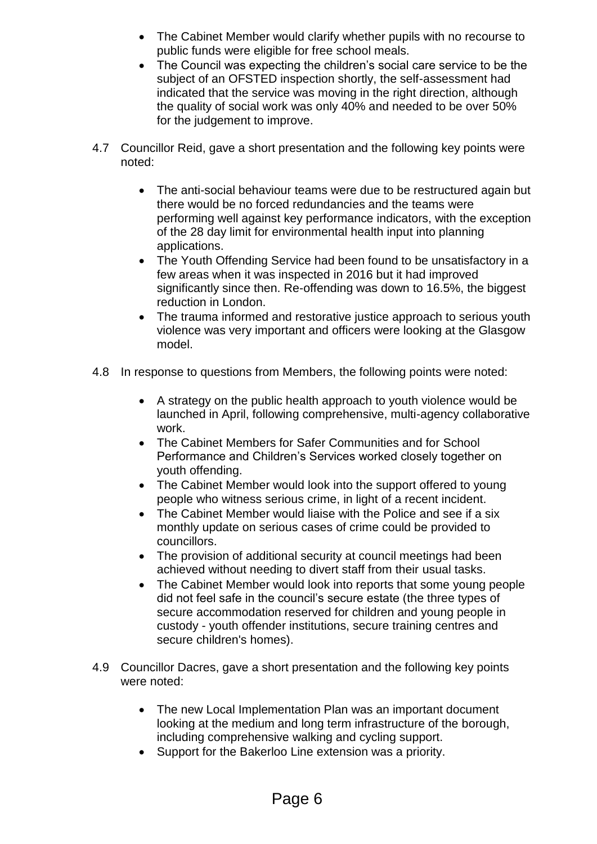- The Cabinet Member would clarify whether pupils with no recourse to public funds were eligible for free school meals.
- The Council was expecting the children's social care service to be the subject of an OFSTED inspection shortly, the self-assessment had indicated that the service was moving in the right direction, although the quality of social work was only 40% and needed to be over 50% for the judgement to improve.
- 4.7 Councillor Reid, gave a short presentation and the following key points were noted:
	- The anti-social behaviour teams were due to be restructured again but there would be no forced redundancies and the teams were performing well against key performance indicators, with the exception of the 28 day limit for environmental health input into planning applications.
	- The Youth Offending Service had been found to be unsatisfactory in a few areas when it was inspected in 2016 but it had improved significantly since then. Re-offending was down to 16.5%, the biggest reduction in London.
	- The trauma informed and restorative justice approach to serious youth violence was very important and officers were looking at the Glasgow model.
- 4.8 In response to questions from Members, the following points were noted:
	- A strategy on the public health approach to youth violence would be launched in April, following comprehensive, multi-agency collaborative work.
	- The Cabinet Members for Safer Communities and for School Performance and Children's Services worked closely together on youth offending.
	- The Cabinet Member would look into the support offered to young people who witness serious crime, in light of a recent incident.
	- The Cabinet Member would liaise with the Police and see if a six monthly update on serious cases of crime could be provided to councillors.
	- The provision of additional security at council meetings had been achieved without needing to divert staff from their usual tasks.
	- The Cabinet Member would look into reports that some young people did not feel safe in the council's secure estate (the three types of secure accommodation reserved for children and young people in custody - youth offender institutions, secure training centres and secure children's homes).
- 4.9 Councillor Dacres, gave a short presentation and the following key points were noted:
	- The new Local Implementation Plan was an important document looking at the medium and long term infrastructure of the borough, including comprehensive walking and cycling support.
	- Support for the Bakerloo Line extension was a priority.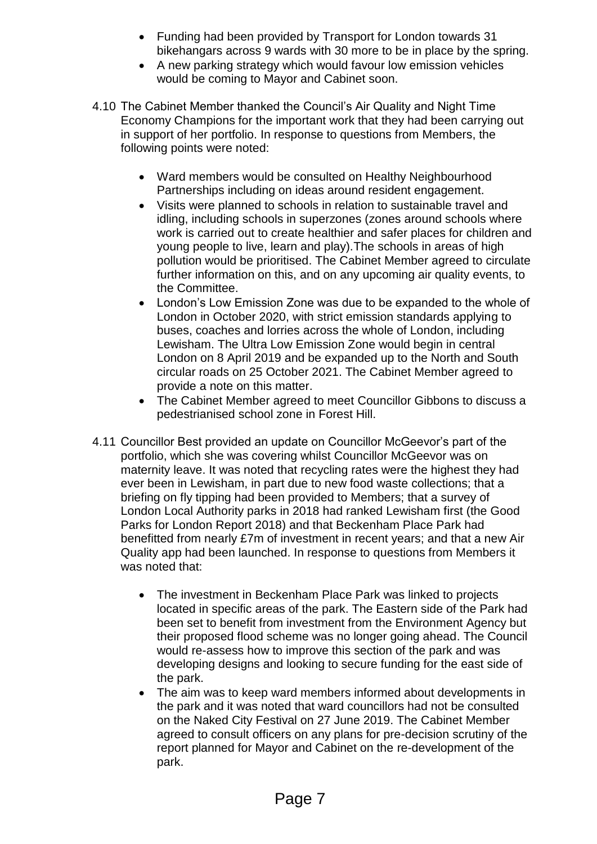- Funding had been provided by Transport for London towards 31 bikehangars across 9 wards with 30 more to be in place by the spring.
- A new parking strategy which would favour low emission vehicles would be coming to Mayor and Cabinet soon.
- 4.10 The Cabinet Member thanked the Council's Air Quality and Night Time Economy Champions for the important work that they had been carrying out in support of her portfolio. In response to questions from Members, the following points were noted:
	- Ward members would be consulted on Healthy Neighbourhood Partnerships including on ideas around resident engagement.
	- Visits were planned to schools in relation to sustainable travel and idling, including schools in superzones (zones around schools where work is carried out to create healthier and safer places for children and young people to live, learn and play).The schools in areas of high pollution would be prioritised. The Cabinet Member agreed to circulate further information on this, and on any upcoming air quality events, to the Committee.
	- London's Low Emission Zone was due to be expanded to the whole of London in October 2020, with strict emission standards applying to buses, coaches and lorries across the whole of London, including Lewisham. The Ultra Low Emission Zone would begin in central London on 8 April 2019 and be expanded up to the North and South circular roads on 25 October 2021. The Cabinet Member agreed to provide a note on this matter.
	- The Cabinet Member agreed to meet Councillor Gibbons to discuss a pedestrianised school zone in Forest Hill.
- 4.11 Councillor Best provided an update on Councillor McGeevor's part of the portfolio, which she was covering whilst Councillor McGeevor was on maternity leave. It was noted that recycling rates were the highest they had ever been in Lewisham, in part due to new food waste collections; that a briefing on fly tipping had been provided to Members; that a survey of London Local Authority parks in 2018 had ranked Lewisham first (the Good Parks for London Report 2018) and that Beckenham Place Park had benefitted from nearly £7m of investment in recent years; and that a new Air Quality app had been launched. In response to questions from Members it was noted that:
	- The investment in Beckenham Place Park was linked to projects located in specific areas of the park. The Eastern side of the Park had been set to benefit from investment from the Environment Agency but their proposed flood scheme was no longer going ahead. The Council would re-assess how to improve this section of the park and was developing designs and looking to secure funding for the east side of the park.
	- The aim was to keep ward members informed about developments in the park and it was noted that ward councillors had not be consulted on the Naked City Festival on 27 June 2019. The Cabinet Member agreed to consult officers on any plans for pre-decision scrutiny of the report planned for Mayor and Cabinet on the re-development of the park.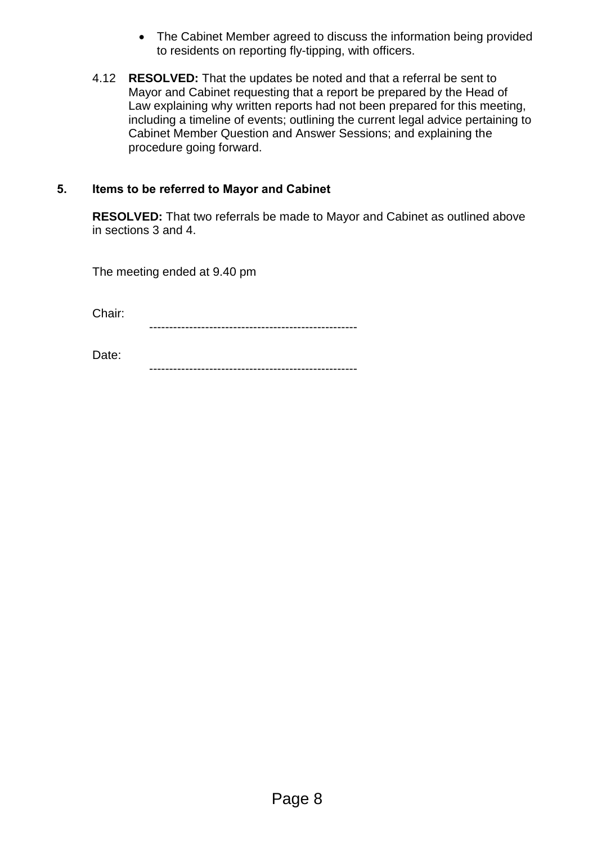- The Cabinet Member agreed to discuss the information being provided to residents on reporting fly-tipping, with officers.
- 4.12 **RESOLVED:** That the updates be noted and that a referral be sent to Mayor and Cabinet requesting that a report be prepared by the Head of Law explaining why written reports had not been prepared for this meeting, including a timeline of events; outlining the current legal advice pertaining to Cabinet Member Question and Answer Sessions; and explaining the procedure going forward.

#### **5. Items to be referred to Mayor and Cabinet**

**RESOLVED:** That two referrals be made to Mayor and Cabinet as outlined above in sections 3 and 4.

The meeting ended at 9.40 pm

Chair:

----------------------------------------------------

Date: ----------------------------------------------------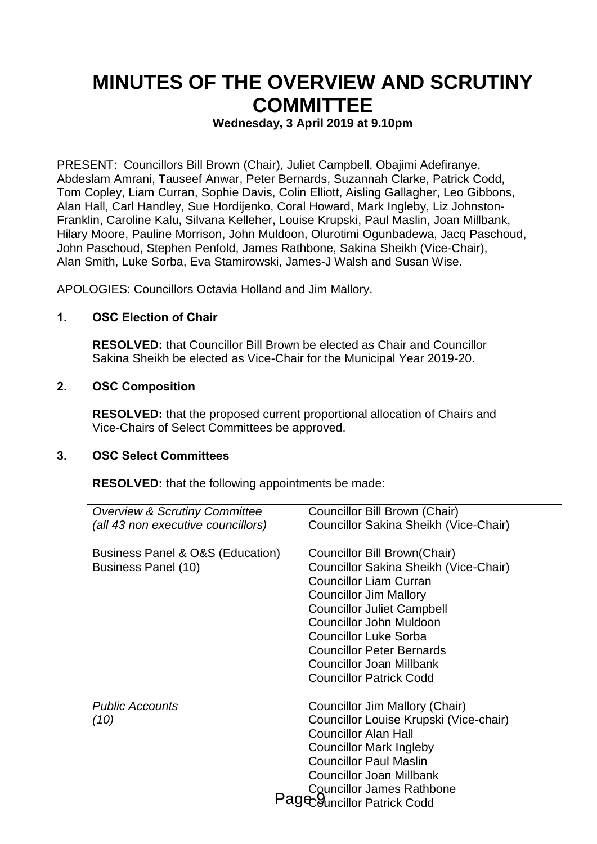## **MINUTES OF THE OVERVIEW AND SCRUTINY COMMITTEE**

#### **Wednesday, 3 April 2019 at 9.10pm**

PRESENT: Councillors Bill Brown (Chair), Juliet Campbell, Obajimi Adefiranye, Abdeslam Amrani, Tauseef Anwar, Peter Bernards, Suzannah Clarke, Patrick Codd, Tom Copley, Liam Curran, Sophie Davis, Colin Elliott, Aisling Gallagher, Leo Gibbons, Alan Hall, Carl Handley, Sue Hordijenko, Coral Howard, Mark Ingleby, Liz Johnston-Franklin, Caroline Kalu, Silvana Kelleher, Louise Krupski, Paul Maslin, Joan Millbank, Hilary Moore, Pauline Morrison, John Muldoon, Olurotimi Ogunbadewa, Jacq Paschoud, John Paschoud, Stephen Penfold, James Rathbone, Sakina Sheikh (Vice-Chair), Alan Smith, Luke Sorba, Eva Stamirowski, James-J Walsh and Susan Wise.

APOLOGIES: Councillors Octavia Holland and Jim Mallory.

#### **1. OSC Election of Chair**

**RESOLVED:** that Councillor Bill Brown be elected as Chair and Councillor Sakina Sheikh be elected as Vice-Chair for the Municipal Year 2019-20.

#### **2. OSC Composition**

**RESOLVED:** that the proposed current proportional allocation of Chairs and Vice-Chairs of Select Committees be approved.

#### **3. OSC Select Committees**

**RESOLVED:** that the following appointments be made:

| <b>Overview &amp; Scrutiny Committee</b> | Councillor Bill Brown (Chair)          |
|------------------------------------------|----------------------------------------|
| (all 43 non executive councillors)       | Councillor Sakina Sheikh (Vice-Chair)  |
|                                          |                                        |
| Business Panel & O&S (Education)         | Councillor Bill Brown (Chair)          |
| Business Panel (10)                      | Councillor Sakina Sheikh (Vice-Chair)  |
|                                          | <b>Councillor Liam Curran</b>          |
|                                          | <b>Councillor Jim Mallory</b>          |
|                                          | <b>Councillor Juliet Campbell</b>      |
|                                          | Councillor John Muldoon                |
|                                          | <b>Councillor Luke Sorba</b>           |
|                                          | <b>Councillor Peter Bernards</b>       |
|                                          | Councillor Joan Millbank               |
|                                          | <b>Councillor Patrick Codd</b>         |
|                                          |                                        |
| <b>Public Accounts</b>                   | Councillor Jim Mallory (Chair)         |
| (10)                                     | Councillor Louise Krupski (Vice-chair) |
|                                          | <b>Councillor Alan Hall</b>            |
|                                          | <b>Councillor Mark Ingleby</b>         |
|                                          | <b>Councillor Paul Maslin</b>          |
|                                          | <b>Councillor Joan Millbank</b>        |
|                                          | Councillor James Rathbone              |
|                                          | Councillor Patrick Codd                |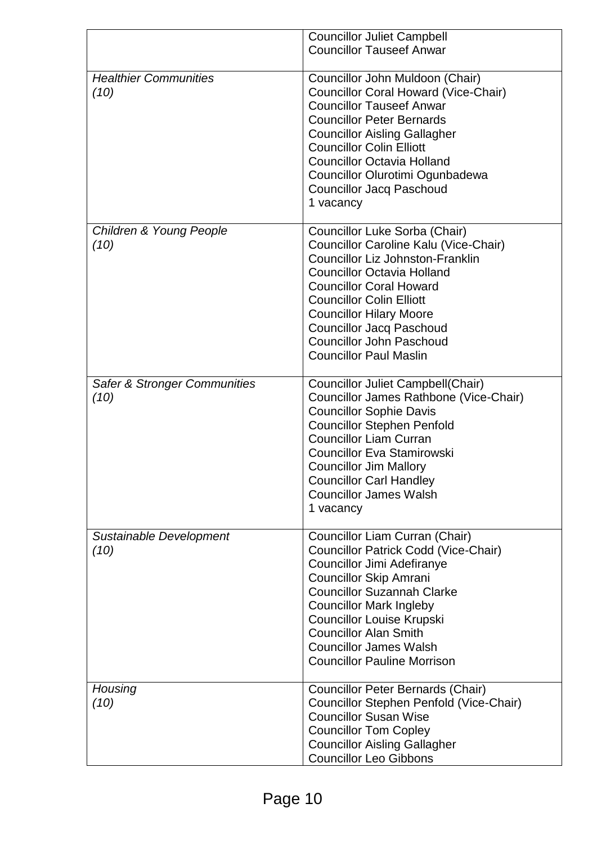|                                         | <b>Councillor Juliet Campbell</b>           |
|-----------------------------------------|---------------------------------------------|
|                                         | <b>Councillor Tauseef Anwar</b>             |
|                                         |                                             |
| <b>Healthier Communities</b>            | Councillor John Muldoon (Chair)             |
| (10)                                    | <b>Councillor Coral Howard (Vice-Chair)</b> |
|                                         | <b>Councillor Tauseef Anwar</b>             |
|                                         | <b>Councillor Peter Bernards</b>            |
|                                         | <b>Councillor Aisling Gallagher</b>         |
|                                         | <b>Councillor Colin Elliott</b>             |
|                                         | <b>Councillor Octavia Holland</b>           |
|                                         | Councillor Olurotimi Ogunbadewa             |
|                                         |                                             |
|                                         | <b>Councillor Jacq Paschoud</b>             |
|                                         | 1 vacancy                                   |
| Children & Young People                 | Councillor Luke Sorba (Chair)               |
| (10)                                    | Councillor Caroline Kalu (Vice-Chair)       |
|                                         | <b>Councillor Liz Johnston-Franklin</b>     |
|                                         | <b>Councillor Octavia Holland</b>           |
|                                         |                                             |
|                                         | <b>Councillor Coral Howard</b>              |
|                                         | <b>Councillor Colin Elliott</b>             |
|                                         | <b>Councillor Hilary Moore</b>              |
|                                         | <b>Councillor Jacq Paschoud</b>             |
|                                         | <b>Councillor John Paschoud</b>             |
|                                         | <b>Councillor Paul Maslin</b>               |
|                                         |                                             |
| <b>Safer &amp; Stronger Communities</b> | Councillor Juliet Campbell(Chair)           |
| (10)                                    | Councillor James Rathbone (Vice-Chair)      |
|                                         | <b>Councillor Sophie Davis</b>              |
|                                         | <b>Councillor Stephen Penfold</b>           |
|                                         | <b>Councillor Liam Curran</b>               |
|                                         | <b>Councillor Eva Stamirowski</b>           |
|                                         | <b>Councillor Jim Mallory</b>               |
|                                         | <b>Councillor Carl Handley</b>              |
|                                         | <b>Councillor James Walsh</b>               |
|                                         | 1 vacancy                                   |
|                                         |                                             |
| Sustainable Development                 | Councillor Liam Curran (Chair)              |
| (10)                                    | Councillor Patrick Codd (Vice-Chair)        |
|                                         | Councillor Jimi Adefiranye                  |
|                                         | <b>Councillor Skip Amrani</b>               |
|                                         | <b>Councillor Suzannah Clarke</b>           |
|                                         | <b>Councillor Mark Ingleby</b>              |
|                                         | <b>Councillor Louise Krupski</b>            |
|                                         | <b>Councillor Alan Smith</b>                |
|                                         | <b>Councillor James Walsh</b>               |
|                                         | <b>Councillor Pauline Morrison</b>          |
| Housing                                 | <b>Councillor Peter Bernards (Chair)</b>    |
|                                         |                                             |
| (10)                                    | Councillor Stephen Penfold (Vice-Chair)     |
|                                         | <b>Councillor Susan Wise</b>                |
|                                         | <b>Councillor Tom Copley</b>                |
|                                         | <b>Councillor Aisling Gallagher</b>         |
|                                         | <b>Councillor Leo Gibbons</b>               |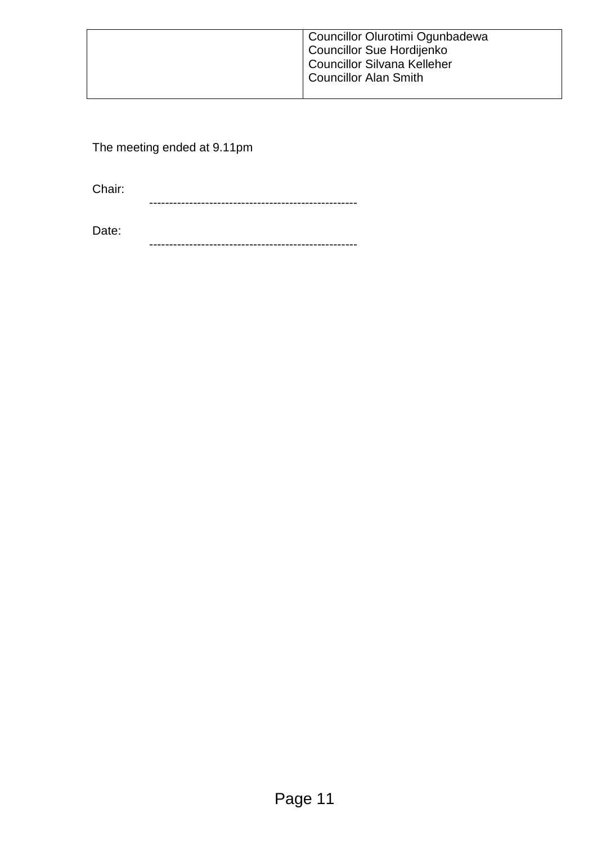| Councillor Olurotimi Ogunbadewa<br>Councillor Sue Hordijenko<br>Councillor Silvana Kelleher<br><b>Councillor Alan Smith</b> |
|-----------------------------------------------------------------------------------------------------------------------------|
|                                                                                                                             |

The meeting ended at 9.11pm

Chair:

----------------------------------------------------

Date: ----------------------------------------------------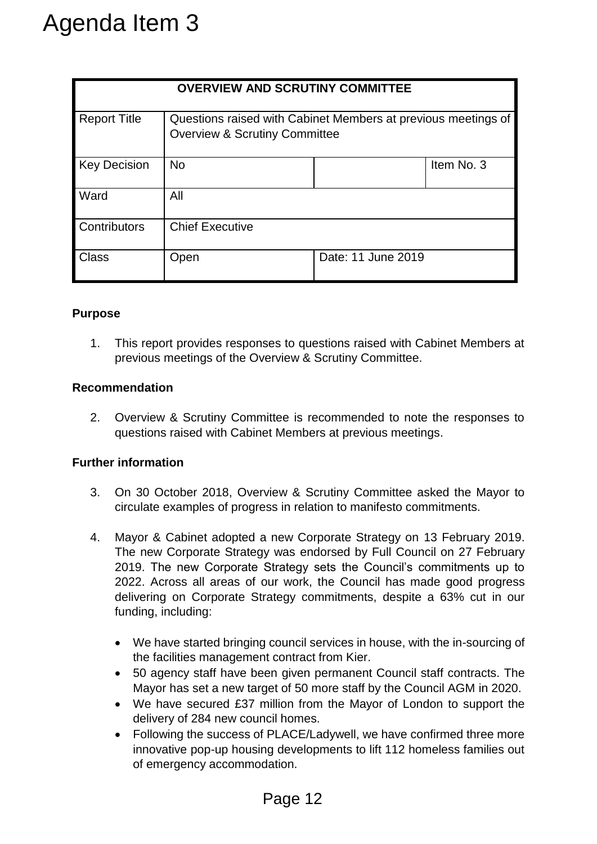|                                                                                                                                                                                                                                                                                                                                                                                                                                                                                                                                                                                              |                                                                                                                                                                                                                                                                                                                                                                                                 |                        |                                                                                                           | <b>OVERVIEW AND SCRUTINY COMMITTEE</b>                                                                                                 |            |  |
|----------------------------------------------------------------------------------------------------------------------------------------------------------------------------------------------------------------------------------------------------------------------------------------------------------------------------------------------------------------------------------------------------------------------------------------------------------------------------------------------------------------------------------------------------------------------------------------------|-------------------------------------------------------------------------------------------------------------------------------------------------------------------------------------------------------------------------------------------------------------------------------------------------------------------------------------------------------------------------------------------------|------------------------|-----------------------------------------------------------------------------------------------------------|----------------------------------------------------------------------------------------------------------------------------------------|------------|--|
|                                                                                                                                                                                                                                                                                                                                                                                                                                                                                                                                                                                              | <b>Report Title</b>                                                                                                                                                                                                                                                                                                                                                                             |                        | Questions raised with Cabinet Members at previous meetings of<br><b>Overview &amp; Scrutiny Committee</b> |                                                                                                                                        |            |  |
| <b>Key Decision</b>                                                                                                                                                                                                                                                                                                                                                                                                                                                                                                                                                                          |                                                                                                                                                                                                                                                                                                                                                                                                 | <b>No</b>              |                                                                                                           |                                                                                                                                        | Item No. 3 |  |
| Ward                                                                                                                                                                                                                                                                                                                                                                                                                                                                                                                                                                                         |                                                                                                                                                                                                                                                                                                                                                                                                 | All                    |                                                                                                           |                                                                                                                                        |            |  |
|                                                                                                                                                                                                                                                                                                                                                                                                                                                                                                                                                                                              | Contributors                                                                                                                                                                                                                                                                                                                                                                                    | <b>Chief Executive</b> |                                                                                                           |                                                                                                                                        |            |  |
| <b>Class</b>                                                                                                                                                                                                                                                                                                                                                                                                                                                                                                                                                                                 |                                                                                                                                                                                                                                                                                                                                                                                                 | Open                   |                                                                                                           | Date: 11 June 2019                                                                                                                     |            |  |
| 1.                                                                                                                                                                                                                                                                                                                                                                                                                                                                                                                                                                                           |                                                                                                                                                                                                                                                                                                                                                                                                 |                        |                                                                                                           | This report provides responses to questions raised with Cabinet Members and<br>previous meetings of the Overview & Scrutiny Committee. |            |  |
|                                                                                                                                                                                                                                                                                                                                                                                                                                                                                                                                                                                              | <b>Recommendation</b>                                                                                                                                                                                                                                                                                                                                                                           |                        |                                                                                                           |                                                                                                                                        |            |  |
| 2.                                                                                                                                                                                                                                                                                                                                                                                                                                                                                                                                                                                           |                                                                                                                                                                                                                                                                                                                                                                                                 |                        |                                                                                                           | Overview & Scrutiny Committee is recommended to note the responses to<br>questions raised with Cabinet Members at previous meetings.   |            |  |
|                                                                                                                                                                                                                                                                                                                                                                                                                                                                                                                                                                                              | <b>Further information</b>                                                                                                                                                                                                                                                                                                                                                                      |                        |                                                                                                           |                                                                                                                                        |            |  |
| 3.                                                                                                                                                                                                                                                                                                                                                                                                                                                                                                                                                                                           | On 30 October 2018, Overview & Scrutiny Committee asked the Mayor to<br>circulate examples of progress in relation to manifesto commitments.                                                                                                                                                                                                                                                    |                        |                                                                                                           |                                                                                                                                        |            |  |
| 4.                                                                                                                                                                                                                                                                                                                                                                                                                                                                                                                                                                                           | Mayor & Cabinet adopted a new Corporate Strategy on 13 February 2019<br>The new Corporate Strategy was endorsed by Full Council on 27 Februar<br>2019. The new Corporate Strategy sets the Council's commitments up to<br>2022. Across all areas of our work, the Council has made good progres<br>delivering on Corporate Strategy commitments, despite a 63% cut in ou<br>funding, including: |                        |                                                                                                           |                                                                                                                                        |            |  |
| We have started bringing council services in house, with the in-sourcing of<br>the facilities management contract from Kier.<br>50 agency staff have been given permanent Council staff contracts. The<br>Mayor has set a new target of 50 more staff by the Council AGM in 2020<br>We have secured £37 million from the Mayor of London to support th<br>$\bullet$<br>delivery of 284 new council homes.<br>Following the success of PLACE/Ladywell, we have confirmed three more<br>innovative pop-up housing developments to lift 112 homeless families or<br>of emergency accommodation. |                                                                                                                                                                                                                                                                                                                                                                                                 |                        |                                                                                                           |                                                                                                                                        |            |  |
|                                                                                                                                                                                                                                                                                                                                                                                                                                                                                                                                                                                              |                                                                                                                                                                                                                                                                                                                                                                                                 |                        |                                                                                                           |                                                                                                                                        |            |  |

#### **Purpose**

#### **Recommendation**

#### **Further information**

- 3. On 30 October 2018, Overview & Scrutiny Committee asked the Mayor to circulate examples of progress in relation to manifesto commitments.
- 4. Mayor & Cabinet adopted a new Corporate Strategy on 13 February 2019. The new Corporate Strategy was endorsed by Full Council on 27 February 2019. The new Corporate Strategy sets the Council's commitments up to 2022. Across all areas of our work, the Council has made good progress delivering on Corporate Strategy commitments, despite a 63% cut in our funding, including:
	- We have started bringing council services in house, with the in-sourcing of the facilities management contract from Kier.
	- 50 agency staff have been given permanent Council staff contracts. The Mayor has set a new target of 50 more staff by the Council AGM in 2020.
	- We have secured £37 million from the Mayor of London to support the delivery of 284 new council homes.
	- Following the success of PLACE/Ladywell, we have confirmed three more innovative pop-up housing developments to lift 112 homeless families out of emergency accommodation.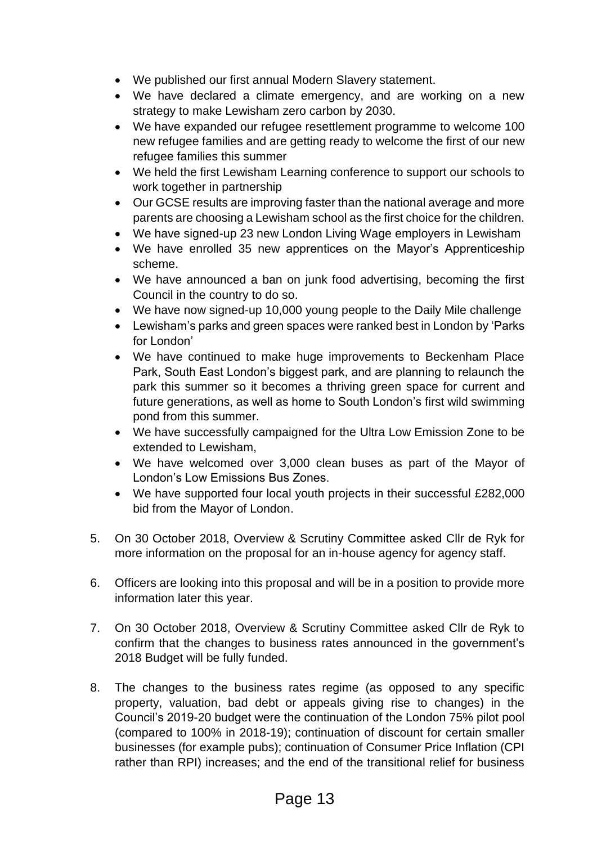- We published our first annual Modern Slavery statement.
- We have declared a climate emergency, and are working on a new strategy to make Lewisham zero carbon by 2030.
- We have expanded our refugee resettlement programme to welcome 100 new refugee families and are getting ready to welcome the first of our new refugee families this summer
- We held the first Lewisham Learning conference to support our schools to work together in partnership
- Our GCSE results are improving faster than the national average and more parents are choosing a Lewisham school as the first choice for the children.
- We have signed-up 23 new London Living Wage employers in Lewisham
- We have enrolled 35 new apprentices on the Mayor's Apprenticeship scheme.
- We have announced a ban on junk food advertising, becoming the first Council in the country to do so.
- We have now signed-up 10,000 young people to the Daily Mile challenge
- Lewisham's parks and green spaces were ranked best in London by 'Parks for London'
- We have continued to make huge improvements to Beckenham Place Park, South East London's biggest park, and are planning to relaunch the park this summer so it becomes a thriving green space for current and future generations, as well as home to South London's first wild swimming pond from this summer.
- We have successfully campaigned for the Ultra Low Emission Zone to be extended to Lewisham,
- We have welcomed over 3,000 clean buses as part of the Mayor of London's Low Emissions Bus Zones.
- We have supported four local youth projects in their successful £282,000 bid from the Mayor of London.
- 5. On 30 October 2018, Overview & Scrutiny Committee asked Cllr de Ryk for more information on the proposal for an in-house agency for agency staff.
- 6. Officers are looking into this proposal and will be in a position to provide more information later this year.
- 7. On 30 October 2018, Overview & Scrutiny Committee asked Cllr de Ryk to confirm that the changes to business rates announced in the government's 2018 Budget will be fully funded.
- 8. The changes to the business rates regime (as opposed to any specific property, valuation, bad debt or appeals giving rise to changes) in the Council's 2019-20 budget were the continuation of the London 75% pilot pool (compared to 100% in 2018-19); continuation of discount for certain smaller businesses (for example pubs); continuation of Consumer Price Inflation (CPI rather than RPI) increases; and the end of the transitional relief for business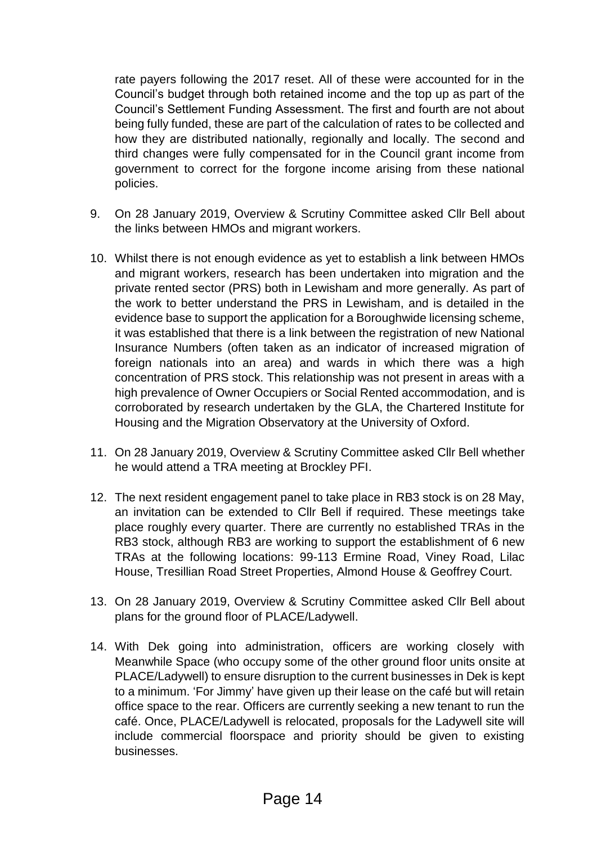rate payers following the 2017 reset. All of these were accounted for in the Council's budget through both retained income and the top up as part of the Council's Settlement Funding Assessment. The first and fourth are not about being fully funded, these are part of the calculation of rates to be collected and how they are distributed nationally, regionally and locally. The second and third changes were fully compensated for in the Council grant income from government to correct for the forgone income arising from these national policies.

- 9. On 28 January 2019, Overview & Scrutiny Committee asked Cllr Bell about the links between HMOs and migrant workers.
- 10. Whilst there is not enough evidence as yet to establish a link between HMOs and migrant workers, research has been undertaken into migration and the private rented sector (PRS) both in Lewisham and more generally. As part of the work to better understand the PRS in Lewisham, and is detailed in the evidence base to support the application for a Boroughwide licensing scheme, it was established that there is a link between the registration of new National Insurance Numbers (often taken as an indicator of increased migration of foreign nationals into an area) and wards in which there was a high concentration of PRS stock. This relationship was not present in areas with a high prevalence of Owner Occupiers or Social Rented accommodation, and is corroborated by research undertaken by the GLA, the Chartered Institute for Housing and the Migration Observatory at the University of Oxford.
- 11. On 28 January 2019, Overview & Scrutiny Committee asked Cllr Bell whether he would attend a TRA meeting at Brockley PFI.
- 12. The next resident engagement panel to take place in RB3 stock is on 28 May, an invitation can be extended to Cllr Bell if required. These meetings take place roughly every quarter. There are currently no established TRAs in the RB3 stock, although RB3 are working to support the establishment of 6 new TRAs at the following locations: 99-113 Ermine Road, Viney Road, Lilac House, Tresillian Road Street Properties, Almond House & Geoffrey Court.
- 13. On 28 January 2019, Overview & Scrutiny Committee asked Cllr Bell about plans for the ground floor of PLACE/Ladywell.
- 14. With Dek going into administration, officers are working closely with Meanwhile Space (who occupy some of the other ground floor units onsite at PLACE/Ladywell) to ensure disruption to the current businesses in Dek is kept to a minimum. 'For Jimmy' have given up their lease on the café but will retain office space to the rear. Officers are currently seeking a new tenant to run the café. Once, PLACE/Ladywell is relocated, proposals for the Ladywell site will include commercial floorspace and priority should be given to existing businesses.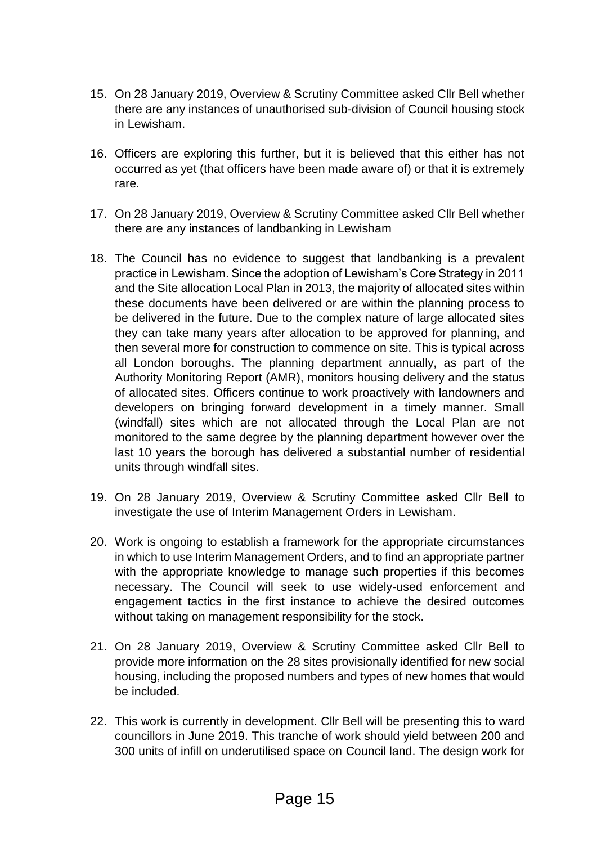- 15. On 28 January 2019, Overview & Scrutiny Committee asked Cllr Bell whether there are any instances of unauthorised sub-division of Council housing stock in Lewisham.
- 16. Officers are exploring this further, but it is believed that this either has not occurred as yet (that officers have been made aware of) or that it is extremely rare.
- 17. On 28 January 2019, Overview & Scrutiny Committee asked Cllr Bell whether there are any instances of landbanking in Lewisham
- 18. The Council has no evidence to suggest that landbanking is a prevalent practice in Lewisham. Since the adoption of Lewisham's Core Strategy in 2011 and the Site allocation Local Plan in 2013, the majority of allocated sites within these documents have been delivered or are within the planning process to be delivered in the future. Due to the complex nature of large allocated sites they can take many years after allocation to be approved for planning, and then several more for construction to commence on site. This is typical across all London boroughs. The planning department annually, as part of the Authority Monitoring Report (AMR), monitors housing delivery and the status of allocated sites. Officers continue to work proactively with landowners and developers on bringing forward development in a timely manner. Small (windfall) sites which are not allocated through the Local Plan are not monitored to the same degree by the planning department however over the last 10 years the borough has delivered a substantial number of residential units through windfall sites.
- 19. On 28 January 2019, Overview & Scrutiny Committee asked Cllr Bell to investigate the use of Interim Management Orders in Lewisham.
- 20. Work is ongoing to establish a framework for the appropriate circumstances in which to use Interim Management Orders, and to find an appropriate partner with the appropriate knowledge to manage such properties if this becomes necessary. The Council will seek to use widely-used enforcement and engagement tactics in the first instance to achieve the desired outcomes without taking on management responsibility for the stock.
- 21. On 28 January 2019, Overview & Scrutiny Committee asked Cllr Bell to provide more information on the 28 sites provisionally identified for new social housing, including the proposed numbers and types of new homes that would be included.
- 22. This work is currently in development. Cllr Bell will be presenting this to ward councillors in June 2019. This tranche of work should yield between 200 and 300 units of infill on underutilised space on Council land. The design work for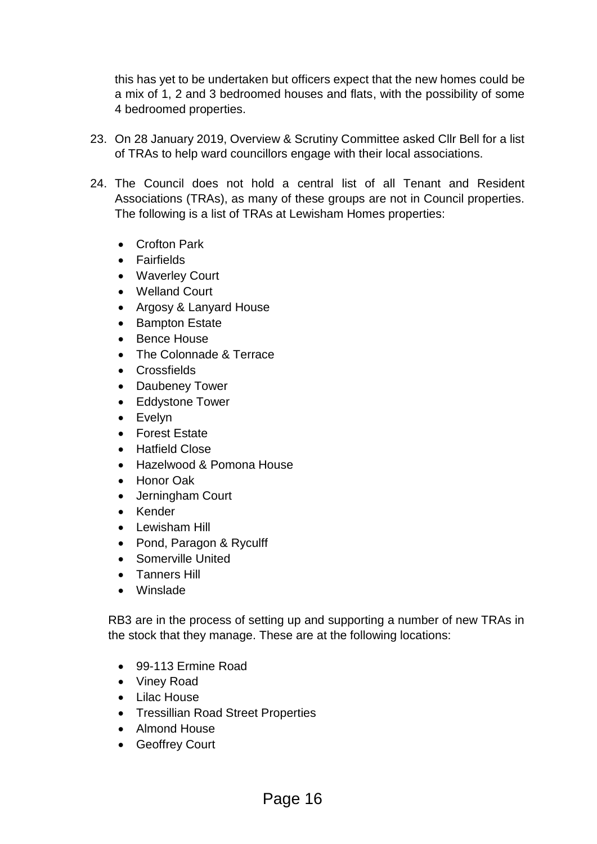this has yet to be undertaken but officers expect that the new homes could be a mix of 1, 2 and 3 bedroomed houses and flats, with the possibility of some 4 bedroomed properties.

- 23. On 28 January 2019, Overview & Scrutiny Committee asked Cllr Bell for a list of TRAs to help ward councillors engage with their local associations.
- 24. The Council does not hold a central list of all Tenant and Resident Associations (TRAs), as many of these groups are not in Council properties. The following is a list of TRAs at Lewisham Homes properties:
	- Crofton Park
	- **•** Fairfields
	- Waverley Court
	- Welland Court
	- Argosy & Lanyard House
	- Bampton Estate
	- Bence House
	- The Colonnade & Terrace
	- Crossfields
	- Daubeney Tower
	- Eddystone Tower
	- Evelyn
	- Forest Estate
	- Hatfield Close
	- Hazelwood & Pomona House
	- Honor Oak
	- Jerningham Court
	- Kender
	- Lewisham Hill
	- Pond, Paragon & Ryculff
	- Somerville United
	- **•** Tanners Hill
	- Winslade

RB3 are in the process of setting up and supporting a number of new TRAs in the stock that they manage. These are at the following locations:

- 99-113 Ermine Road
- Viney Road
- Lilac House
- Tressillian Road Street Properties
- Almond House
- Geoffrey Court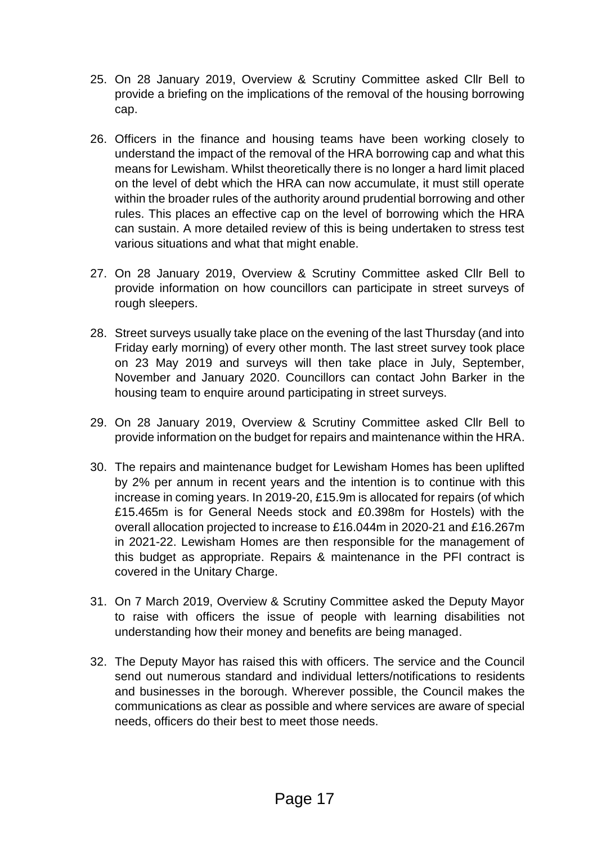- 25. On 28 January 2019, Overview & Scrutiny Committee asked Cllr Bell to provide a briefing on the implications of the removal of the housing borrowing cap.
- 26. Officers in the finance and housing teams have been working closely to understand the impact of the removal of the HRA borrowing cap and what this means for Lewisham. Whilst theoretically there is no longer a hard limit placed on the level of debt which the HRA can now accumulate, it must still operate within the broader rules of the authority around prudential borrowing and other rules. This places an effective cap on the level of borrowing which the HRA can sustain. A more detailed review of this is being undertaken to stress test various situations and what that might enable.
- 27. On 28 January 2019, Overview & Scrutiny Committee asked Cllr Bell to provide information on how councillors can participate in street surveys of rough sleepers.
- 28. Street surveys usually take place on the evening of the last Thursday (and into Friday early morning) of every other month. The last street survey took place on 23 May 2019 and surveys will then take place in July, September, November and January 2020. Councillors can contact John Barker in the housing team to enquire around participating in street surveys.
- 29. On 28 January 2019, Overview & Scrutiny Committee asked Cllr Bell to provide information on the budget for repairs and maintenance within the HRA.
- 30. The repairs and maintenance budget for Lewisham Homes has been uplifted by 2% per annum in recent years and the intention is to continue with this increase in coming years. In 2019-20, £15.9m is allocated for repairs (of which £15.465m is for General Needs stock and £0.398m for Hostels) with the overall allocation projected to increase to £16.044m in 2020-21 and £16.267m in 2021-22. Lewisham Homes are then responsible for the management of this budget as appropriate. Repairs & maintenance in the PFI contract is covered in the Unitary Charge.
- 31. On 7 March 2019, Overview & Scrutiny Committee asked the Deputy Mayor to raise with officers the issue of people with learning disabilities not understanding how their money and benefits are being managed.
- 32. The Deputy Mayor has raised this with officers. The service and the Council send out numerous standard and individual letters/notifications to residents and businesses in the borough. Wherever possible, the Council makes the communications as clear as possible and where services are aware of special needs, officers do their best to meet those needs.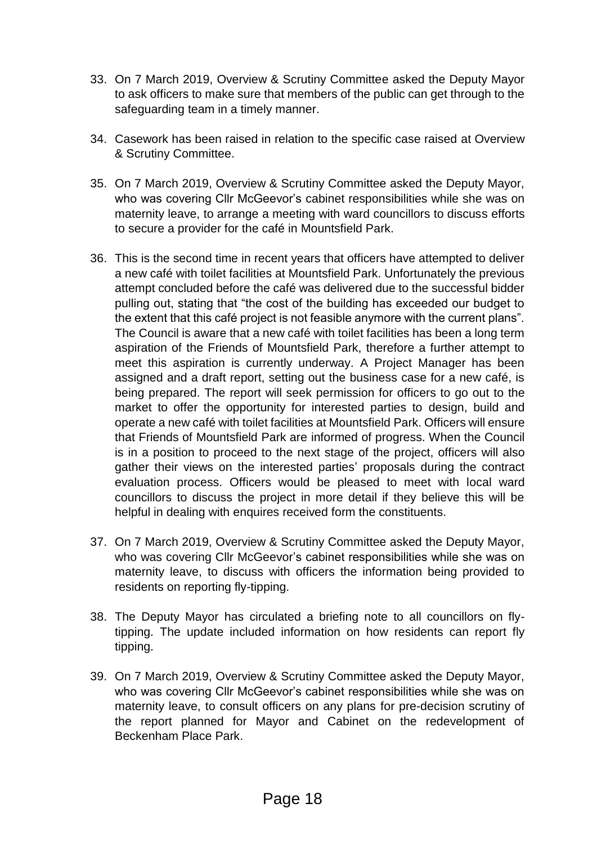- 33. On 7 March 2019, Overview & Scrutiny Committee asked the Deputy Mayor to ask officers to make sure that members of the public can get through to the safeguarding team in a timely manner.
- 34. Casework has been raised in relation to the specific case raised at Overview & Scrutiny Committee.
- 35. On 7 March 2019, Overview & Scrutiny Committee asked the Deputy Mayor, who was covering Cllr McGeevor's cabinet responsibilities while she was on maternity leave, to arrange a meeting with ward councillors to discuss efforts to secure a provider for the café in Mountsfield Park.
- 36. This is the second time in recent years that officers have attempted to deliver a new café with toilet facilities at Mountsfield Park. Unfortunately the previous attempt concluded before the café was delivered due to the successful bidder pulling out, stating that "the cost of the building has exceeded our budget to the extent that this café project is not feasible anymore with the current plans". The Council is aware that a new café with toilet facilities has been a long term aspiration of the Friends of Mountsfield Park, therefore a further attempt to meet this aspiration is currently underway. A Project Manager has been assigned and a draft report, setting out the business case for a new café, is being prepared. The report will seek permission for officers to go out to the market to offer the opportunity for interested parties to design, build and operate a new café with toilet facilities at Mountsfield Park. Officers will ensure that Friends of Mountsfield Park are informed of progress. When the Council is in a position to proceed to the next stage of the project, officers will also gather their views on the interested parties' proposals during the contract evaluation process. Officers would be pleased to meet with local ward councillors to discuss the project in more detail if they believe this will be helpful in dealing with enquires received form the constituents.
- 37. On 7 March 2019, Overview & Scrutiny Committee asked the Deputy Mayor, who was covering Cllr McGeevor's cabinet responsibilities while she was on maternity leave, to discuss with officers the information being provided to residents on reporting fly-tipping.
- 38. The Deputy Mayor has circulated a briefing note to all councillors on flytipping. The update included information on how residents can report fly tipping.
- 39. On 7 March 2019, Overview & Scrutiny Committee asked the Deputy Mayor, who was covering Cllr McGeevor's cabinet responsibilities while she was on maternity leave, to consult officers on any plans for pre-decision scrutiny of the report planned for Mayor and Cabinet on the redevelopment of Beckenham Place Park.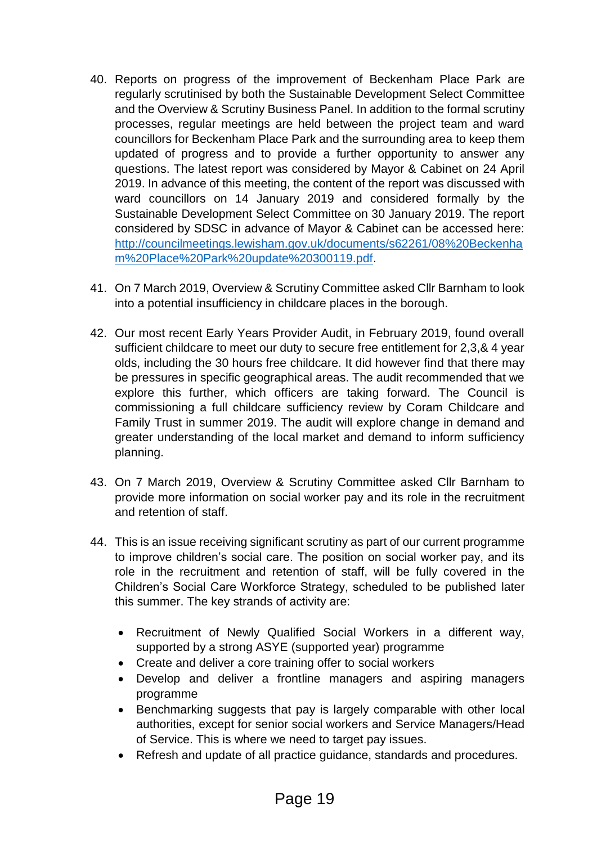- 40. Reports on progress of the improvement of Beckenham Place Park are regularly scrutinised by both the Sustainable Development Select Committee and the Overview & Scrutiny Business Panel. In addition to the formal scrutiny processes, regular meetings are held between the project team and ward councillors for Beckenham Place Park and the surrounding area to keep them updated of progress and to provide a further opportunity to answer any questions. The latest report was considered by Mayor & Cabinet on 24 April 2019. In advance of this meeting, the content of the report was discussed with ward councillors on 14 January 2019 and considered formally by the Sustainable Development Select Committee on 30 January 2019. The report considered by SDSC in advance of Mayor & Cabinet can be accessed here: [http://councilmeetings.lewisham.gov.uk/documents/s62261/08%20Beckenha](http://councilmeetings.lewisham.gov.uk/documents/s62261/08%20Beckenham%20Place%20Park%20update%20300119.pdf) [m%20Place%20Park%20update%20300119.pdf.](http://councilmeetings.lewisham.gov.uk/documents/s62261/08%20Beckenham%20Place%20Park%20update%20300119.pdf)
- 41. On 7 March 2019, Overview & Scrutiny Committee asked Cllr Barnham to look into a potential insufficiency in childcare places in the borough.
- 42. Our most recent Early Years Provider Audit, in February 2019, found overall sufficient childcare to meet our duty to secure free entitlement for 2,3,& 4 year olds, including the 30 hours free childcare. It did however find that there may be pressures in specific geographical areas. The audit recommended that we explore this further, which officers are taking forward. The Council is commissioning a full childcare sufficiency review by Coram Childcare and Family Trust in summer 2019. The audit will explore change in demand and greater understanding of the local market and demand to inform sufficiency planning.
- 43. On 7 March 2019, Overview & Scrutiny Committee asked Cllr Barnham to provide more information on social worker pay and its role in the recruitment and retention of staff.
- 44. This is an issue receiving significant scrutiny as part of our current programme to improve children's social care. The position on social worker pay, and its role in the recruitment and retention of staff, will be fully covered in the Children's Social Care Workforce Strategy, scheduled to be published later this summer. The key strands of activity are:
	- Recruitment of Newly Qualified Social Workers in a different way, supported by a strong ASYE (supported year) programme
	- Create and deliver a core training offer to social workers
	- Develop and deliver a frontline managers and aspiring managers programme
	- Benchmarking suggests that pay is largely comparable with other local authorities, except for senior social workers and Service Managers/Head of Service. This is where we need to target pay issues.
	- Refresh and update of all practice guidance, standards and procedures.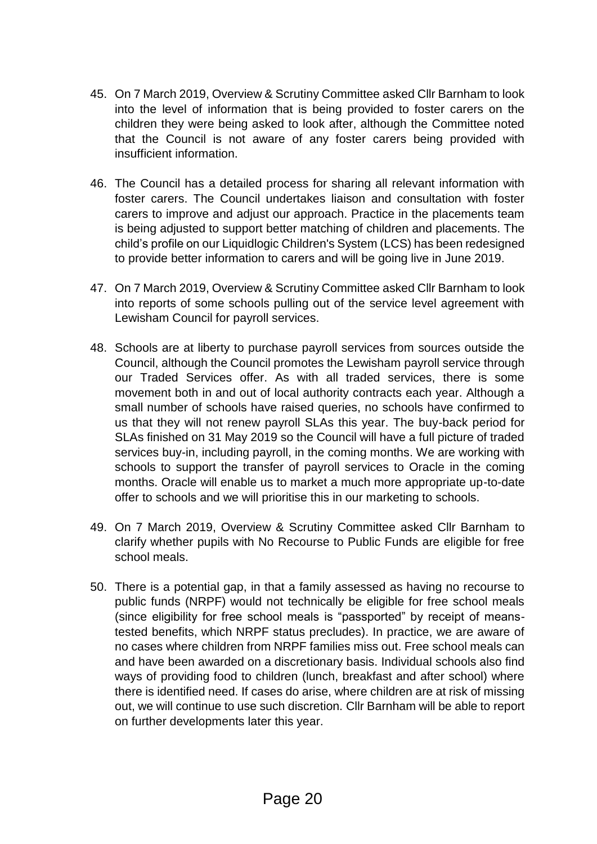- 45. On 7 March 2019, Overview & Scrutiny Committee asked Cllr Barnham to look into the level of information that is being provided to foster carers on the children they were being asked to look after, although the Committee noted that the Council is not aware of any foster carers being provided with insufficient information.
- 46. The Council has a detailed process for sharing all relevant information with foster carers. The Council undertakes liaison and consultation with foster carers to improve and adjust our approach. Practice in the placements team is being adjusted to support better matching of children and placements. The child's profile on our Liquidlogic Children's System (LCS) has been redesigned to provide better information to carers and will be going live in June 2019.
- 47. On 7 March 2019, Overview & Scrutiny Committee asked Cllr Barnham to look into reports of some schools pulling out of the service level agreement with Lewisham Council for payroll services.
- 48. Schools are at liberty to purchase payroll services from sources outside the Council, although the Council promotes the Lewisham payroll service through our Traded Services offer. As with all traded services, there is some movement both in and out of local authority contracts each year. Although a small number of schools have raised queries, no schools have confirmed to us that they will not renew payroll SLAs this year. The buy-back period for SLAs finished on 31 May 2019 so the Council will have a full picture of traded services buy-in, including payroll, in the coming months. We are working with schools to support the transfer of payroll services to Oracle in the coming months. Oracle will enable us to market a much more appropriate up-to-date offer to schools and we will prioritise this in our marketing to schools.
- 49. On 7 March 2019, Overview & Scrutiny Committee asked Cllr Barnham to clarify whether pupils with No Recourse to Public Funds are eligible for free school meals.
- 50. There is a potential gap, in that a family assessed as having no recourse to public funds (NRPF) would not technically be eligible for free school meals (since eligibility for free school meals is "passported" by receipt of meanstested benefits, which NRPF status precludes). In practice, we are aware of no cases where children from NRPF families miss out. Free school meals can and have been awarded on a discretionary basis. Individual schools also find ways of providing food to children (lunch, breakfast and after school) where there is identified need. If cases do arise, where children are at risk of missing out, we will continue to use such discretion. Cllr Barnham will be able to report on further developments later this year.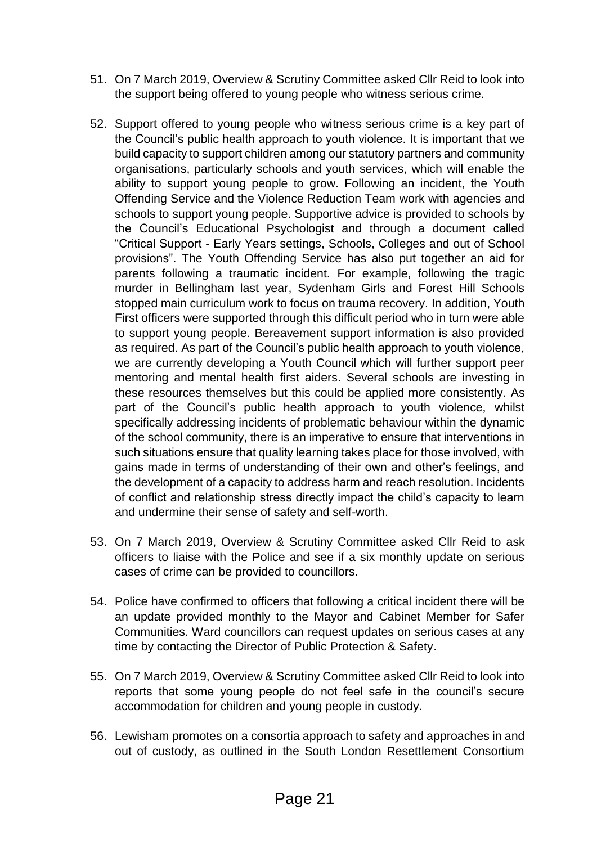- 51. On 7 March 2019, Overview & Scrutiny Committee asked Cllr Reid to look into the support being offered to young people who witness serious crime.
- 52. Support offered to young people who witness serious crime is a key part of the Council's public health approach to youth violence. It is important that we build capacity to support children among our statutory partners and community organisations, particularly schools and youth services, which will enable the ability to support young people to grow. Following an incident, the Youth Offending Service and the Violence Reduction Team work with agencies and schools to support young people. Supportive advice is provided to schools by the Council's Educational Psychologist and through a document called "Critical Support - Early Years settings, Schools, Colleges and out of School provisions". The Youth Offending Service has also put together an aid for parents following a traumatic incident. For example, following the tragic murder in Bellingham last year, Sydenham Girls and Forest Hill Schools stopped main curriculum work to focus on trauma recovery. In addition, Youth First officers were supported through this difficult period who in turn were able to support young people. Bereavement support information is also provided as required. As part of the Council's public health approach to youth violence, we are currently developing a Youth Council which will further support peer mentoring and mental health first aiders. Several schools are investing in these resources themselves but this could be applied more consistently. As part of the Council's public health approach to youth violence, whilst specifically addressing incidents of problematic behaviour within the dynamic of the school community, there is an imperative to ensure that interventions in such situations ensure that quality learning takes place for those involved, with gains made in terms of understanding of their own and other's feelings, and the development of a capacity to address harm and reach resolution. Incidents of conflict and relationship stress directly impact the child's capacity to learn and undermine their sense of safety and self-worth.
- 53. On 7 March 2019, Overview & Scrutiny Committee asked Cllr Reid to ask officers to liaise with the Police and see if a six monthly update on serious cases of crime can be provided to councillors.
- 54. Police have confirmed to officers that following a critical incident there will be an update provided monthly to the Mayor and Cabinet Member for Safer Communities. Ward councillors can request updates on serious cases at any time by contacting the Director of Public Protection & Safety.
- 55. On 7 March 2019, Overview & Scrutiny Committee asked Cllr Reid to look into reports that some young people do not feel safe in the council's secure accommodation for children and young people in custody.
- 56. Lewisham promotes on a consortia approach to safety and approaches in and out of custody, as outlined in the South London Resettlement Consortium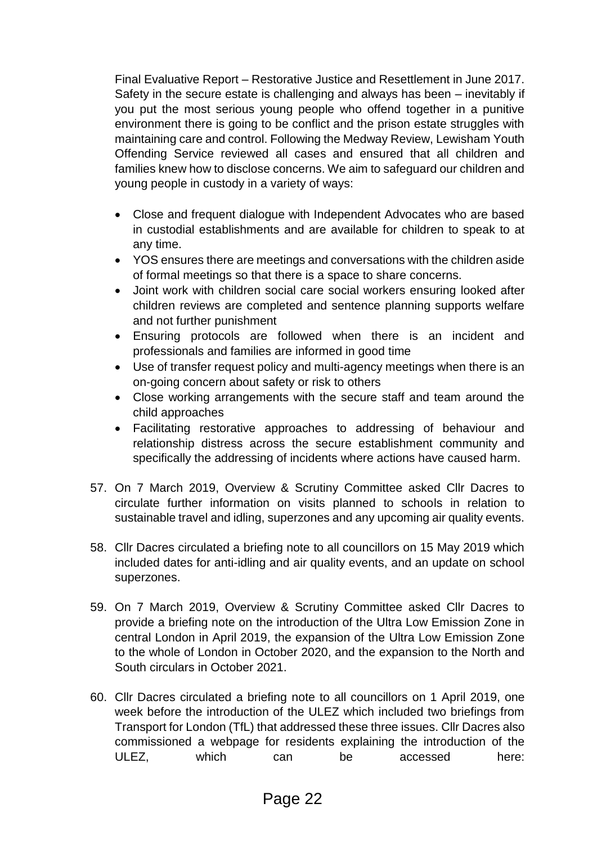Final Evaluative Report – Restorative Justice and Resettlement in June 2017. Safety in the secure estate is challenging and always has been – inevitably if you put the most serious young people who offend together in a punitive environment there is going to be conflict and the prison estate struggles with maintaining care and control. Following the Medway Review, Lewisham Youth Offending Service reviewed all cases and ensured that all children and families knew how to disclose concerns. We aim to safeguard our children and young people in custody in a variety of ways:

- Close and frequent dialogue with Independent Advocates who are based in custodial establishments and are available for children to speak to at any time.
- YOS ensures there are meetings and conversations with the children aside of formal meetings so that there is a space to share concerns.
- Joint work with children social care social workers ensuring looked after children reviews are completed and sentence planning supports welfare and not further punishment
- Ensuring protocols are followed when there is an incident and professionals and families are informed in good time
- Use of transfer request policy and multi-agency meetings when there is an on-going concern about safety or risk to others
- Close working arrangements with the secure staff and team around the child approaches
- Facilitating restorative approaches to addressing of behaviour and relationship distress across the secure establishment community and specifically the addressing of incidents where actions have caused harm.
- 57. On 7 March 2019, Overview & Scrutiny Committee asked Cllr Dacres to circulate further information on visits planned to schools in relation to sustainable travel and idling, superzones and any upcoming air quality events.
- 58. Cllr Dacres circulated a briefing note to all councillors on 15 May 2019 which included dates for anti-idling and air quality events, and an update on school superzones.
- 59. On 7 March 2019, Overview & Scrutiny Committee asked Cllr Dacres to provide a briefing note on the introduction of the Ultra Low Emission Zone in central London in April 2019, the expansion of the Ultra Low Emission Zone to the whole of London in October 2020, and the expansion to the North and South circulars in October 2021.
- 60. Cllr Dacres circulated a briefing note to all councillors on 1 April 2019, one week before the introduction of the ULEZ which included two briefings from Transport for London (TfL) that addressed these three issues. Cllr Dacres also commissioned a webpage for residents explaining the introduction of the ULEZ, which can be accessed here: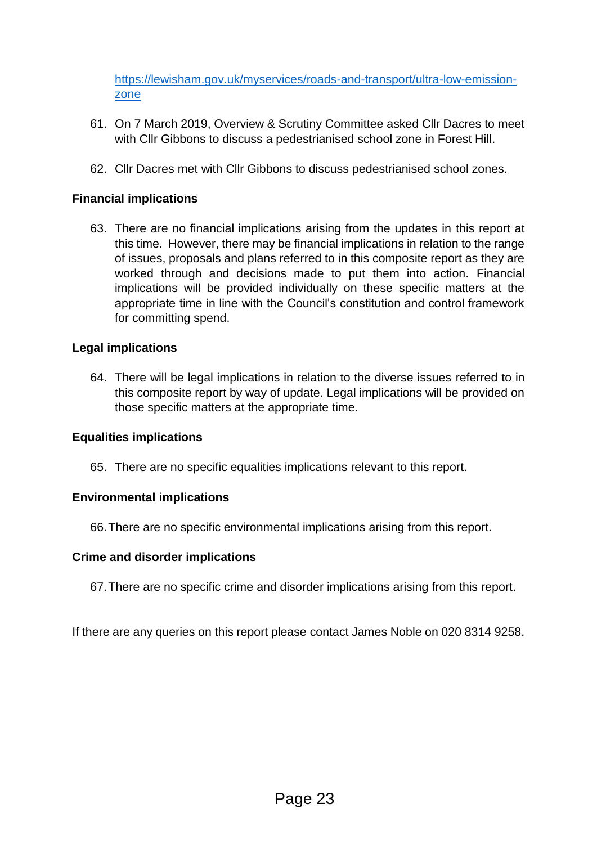[https://lewisham.gov.uk/myservices/roads-and-transport/ultra-low-emission](https://lewisham.gov.uk/myservices/roads-and-transport/ultra-low-emission-zone)[zone](https://lewisham.gov.uk/myservices/roads-and-transport/ultra-low-emission-zone)

- 61. On 7 March 2019, Overview & Scrutiny Committee asked Cllr Dacres to meet with Cllr Gibbons to discuss a pedestrianised school zone in Forest Hill.
- 62. Cllr Dacres met with Cllr Gibbons to discuss pedestrianised school zones.

#### **Financial implications**

63. There are no financial implications arising from the updates in this report at this time. However, there may be financial implications in relation to the range of issues, proposals and plans referred to in this composite report as they are worked through and decisions made to put them into action. Financial implications will be provided individually on these specific matters at the appropriate time in line with the Council's constitution and control framework for committing spend.

#### **Legal implications**

64. There will be legal implications in relation to the diverse issues referred to in this composite report by way of update. Legal implications will be provided on those specific matters at the appropriate time.

#### **Equalities implications**

65. There are no specific equalities implications relevant to this report.

#### **Environmental implications**

66.There are no specific environmental implications arising from this report.

#### **Crime and disorder implications**

67.There are no specific crime and disorder implications arising from this report.

If there are any queries on this report please contact James Noble on 020 8314 9258.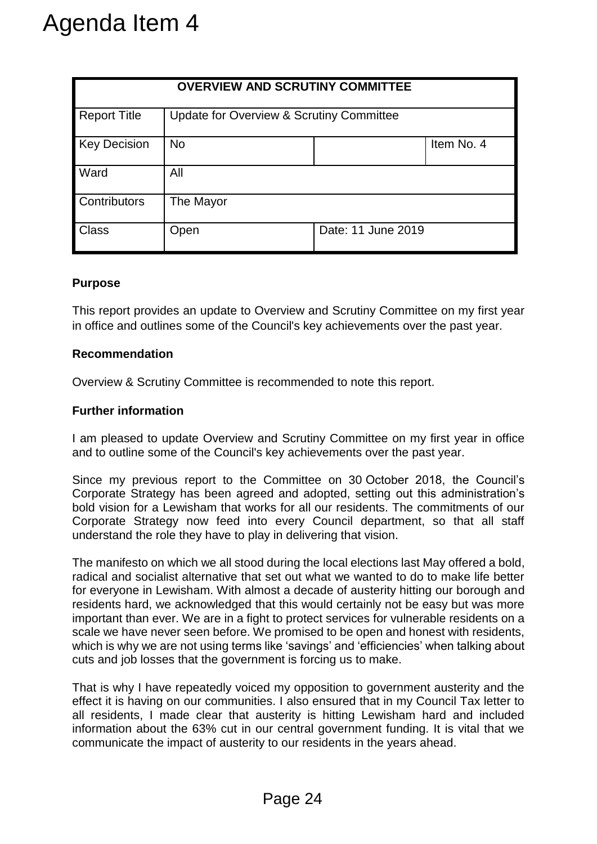|                                                                                                                                                                                                                                                                                                                                                                                                       |                                                                   | <b>OVERVIEW AND SCRUTINY COMMITTEE</b>              |                                                                                                                                                                                                                                                                                                                                                                                                                                                                                                                                                                                                                                        |  |
|-------------------------------------------------------------------------------------------------------------------------------------------------------------------------------------------------------------------------------------------------------------------------------------------------------------------------------------------------------------------------------------------------------|-------------------------------------------------------------------|-----------------------------------------------------|----------------------------------------------------------------------------------------------------------------------------------------------------------------------------------------------------------------------------------------------------------------------------------------------------------------------------------------------------------------------------------------------------------------------------------------------------------------------------------------------------------------------------------------------------------------------------------------------------------------------------------------|--|
| <b>Report Title</b>                                                                                                                                                                                                                                                                                                                                                                                   |                                                                   | <b>Update for Overview &amp; Scrutiny Committee</b> |                                                                                                                                                                                                                                                                                                                                                                                                                                                                                                                                                                                                                                        |  |
| <b>Key Decision</b>                                                                                                                                                                                                                                                                                                                                                                                   | <b>No</b>                                                         |                                                     | Item No. 4                                                                                                                                                                                                                                                                                                                                                                                                                                                                                                                                                                                                                             |  |
| Ward                                                                                                                                                                                                                                                                                                                                                                                                  | All                                                               |                                                     |                                                                                                                                                                                                                                                                                                                                                                                                                                                                                                                                                                                                                                        |  |
| Contributors                                                                                                                                                                                                                                                                                                                                                                                          | The Mayor                                                         |                                                     |                                                                                                                                                                                                                                                                                                                                                                                                                                                                                                                                                                                                                                        |  |
| <b>Class</b>                                                                                                                                                                                                                                                                                                                                                                                          | Open                                                              |                                                     | Date: 11 June 2019                                                                                                                                                                                                                                                                                                                                                                                                                                                                                                                                                                                                                     |  |
|                                                                                                                                                                                                                                                                                                                                                                                                       |                                                                   |                                                     | in office and outlines some of the Council's key achievements over the past year.                                                                                                                                                                                                                                                                                                                                                                                                                                                                                                                                                      |  |
|                                                                                                                                                                                                                                                                                                                                                                                                       |                                                                   |                                                     | This report provides an update to Overview and Scrutiny Committee on my first year                                                                                                                                                                                                                                                                                                                                                                                                                                                                                                                                                     |  |
| <b>Recommendation</b>                                                                                                                                                                                                                                                                                                                                                                                 |                                                                   |                                                     |                                                                                                                                                                                                                                                                                                                                                                                                                                                                                                                                                                                                                                        |  |
|                                                                                                                                                                                                                                                                                                                                                                                                       | Overview & Scrutiny Committee is recommended to note this report. |                                                     |                                                                                                                                                                                                                                                                                                                                                                                                                                                                                                                                                                                                                                        |  |
| <b>Further information</b>                                                                                                                                                                                                                                                                                                                                                                            |                                                                   |                                                     |                                                                                                                                                                                                                                                                                                                                                                                                                                                                                                                                                                                                                                        |  |
| I am pleased to update Overview and Scrutiny Committee on my first year in offic<br>and to outline some of the Council's key achievements over the past year.                                                                                                                                                                                                                                         |                                                                   |                                                     |                                                                                                                                                                                                                                                                                                                                                                                                                                                                                                                                                                                                                                        |  |
| Since my previous report to the Committee on 30 October 2018, the Council<br>Corporate Strategy has been agreed and adopted, setting out this administration'<br>bold vision for a Lewisham that works for all our residents. The commitments of ou<br>Corporate Strategy now feed into every Council department, so that all sta<br>understand the role they have to play in delivering that vision. |                                                                   |                                                     |                                                                                                                                                                                                                                                                                                                                                                                                                                                                                                                                                                                                                                        |  |
|                                                                                                                                                                                                                                                                                                                                                                                                       | cuts and job losses that the government is forcing us to make.    |                                                     | The manifesto on which we all stood during the local elections last May offered a bold<br>radical and socialist alternative that set out what we wanted to do to make life bette<br>for everyone in Lewisham. With almost a decade of austerity hitting our borough an<br>residents hard, we acknowledged that this would certainly not be easy but was mor<br>important than ever. We are in a fight to protect services for vulnerable residents on<br>scale we have never seen before. We promised to be open and honest with residents<br>which is why we are not using terms like 'savings' and 'efficiencies' when talking about |  |
|                                                                                                                                                                                                                                                                                                                                                                                                       |                                                                   |                                                     | That is why I have repeatedly voiced my opposition to government austerity and the                                                                                                                                                                                                                                                                                                                                                                                                                                                                                                                                                     |  |

#### **Purpose**

#### **Recommendation**

#### **Further information**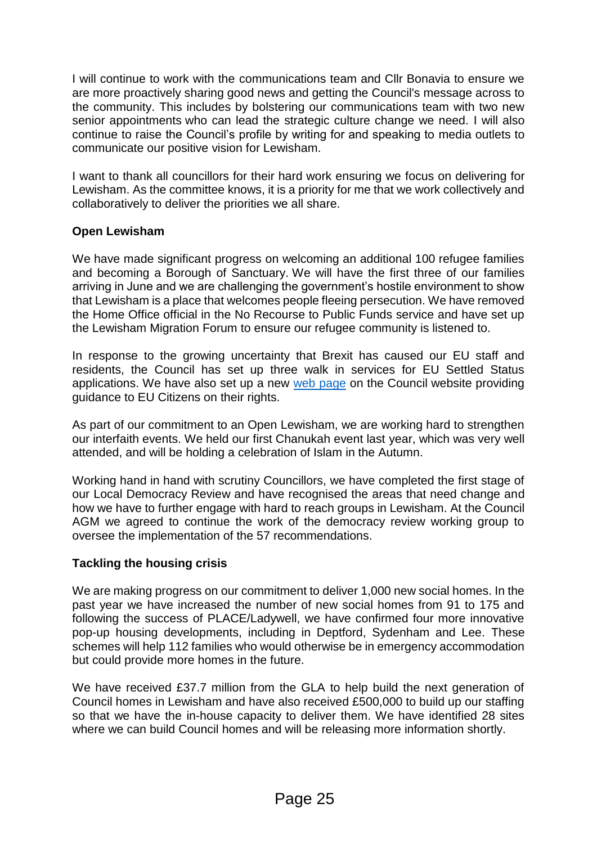I will continue to work with the communications team and Cllr Bonavia to ensure we are more proactively sharing good news and getting the Council's message across to the community. This includes by bolstering our communications team with two new senior appointments who can lead the strategic culture change we need. I will also continue to raise the Council's profile by writing for and speaking to media outlets to communicate our positive vision for Lewisham.

I want to thank all councillors for their hard work ensuring we focus on delivering for Lewisham. As the committee knows, it is a priority for me that we work collectively and collaboratively to deliver the priorities we all share.

#### **Open Lewisham**

We have made significant progress on welcoming an additional 100 refugee families and becoming a Borough of Sanctuary. We will have the first three of our families arriving in June and we are challenging the government's hostile environment to show that Lewisham is a place that welcomes people fleeing persecution. We have removed the Home Office official in the No Recourse to Public Funds service and have set up the Lewisham Migration Forum to ensure our refugee community is listened to.

In response to the growing uncertainty that Brexit has caused our EU staff and residents, the Council has set up three walk in services for EU Settled Status applications. We have also set up a new [web page](https://lewisham.gov.uk/mayorandcouncil/brexit-guidance/rights-of-residents-from-the-eu) on the Council website providing guidance to EU Citizens on their rights.

As part of our commitment to an Open Lewisham, we are working hard to strengthen our interfaith events. We held our first Chanukah event last year, which was very well attended, and will be holding a celebration of Islam in the Autumn.

Working hand in hand with scrutiny Councillors, we have completed the first stage of our Local Democracy Review and have recognised the areas that need change and how we have to further engage with hard to reach groups in Lewisham. At the Council AGM we agreed to continue the work of the democracy review working group to oversee the implementation of the 57 recommendations.

#### **Tackling the housing crisis**

We are making progress on our commitment to deliver 1,000 new social homes. In the past year we have increased the number of new social homes from 91 to 175 and following the success of PLACE/Ladywell, we have confirmed four more innovative pop-up housing developments, including in Deptford, Sydenham and Lee. These schemes will help 112 families who would otherwise be in emergency accommodation but could provide more homes in the future.

We have received £37.7 million from the GLA to help build the next generation of Council homes in Lewisham and have also received £500,000 to build up our staffing so that we have the in-house capacity to deliver them. We have identified 28 sites where we can build Council homes and will be releasing more information shortly.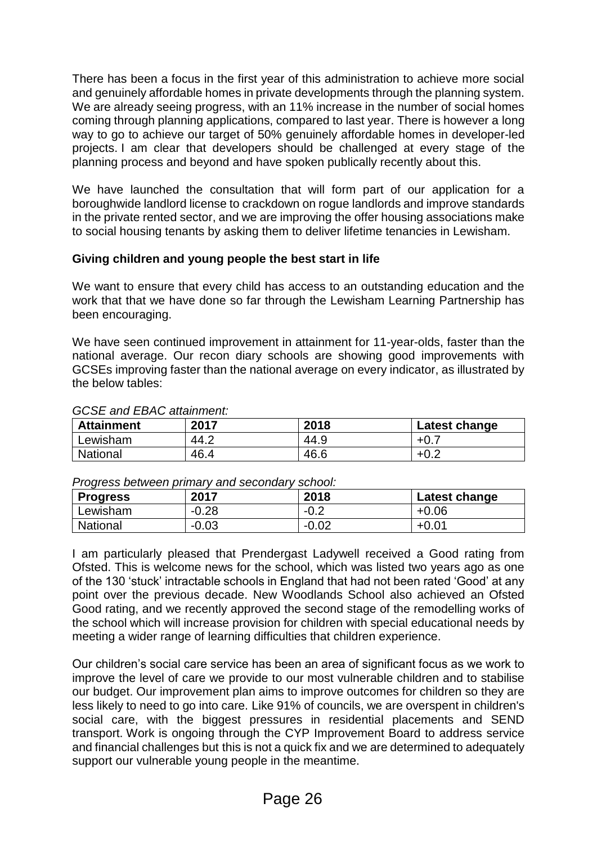There has been a focus in the first year of this administration to achieve more social and genuinely affordable homes in private developments through the planning system. We are already seeing progress, with an 11% increase in the number of social homes coming through planning applications, compared to last year. There is however a long way to go to achieve our target of 50% genuinely affordable homes in developer-led projects. I am clear that developers should be challenged at every stage of the planning process and beyond and have spoken publically recently about this.

We have launched the consultation that will form part of our application for a boroughwide landlord license to crackdown on rogue landlords and improve standards in the private rented sector, and we are improving the offer housing associations make to social housing tenants by asking them to deliver lifetime tenancies in Lewisham.

#### **Giving children and young people the best start in life**

We want to ensure that every child has access to an outstanding education and the work that that we have done so far through the Lewisham Learning Partnership has been encouraging.

We have seen continued improvement in attainment for 11-year-olds, faster than the national average. Our recon diary schools are showing good improvements with GCSEs improving faster than the national average on every indicator, as illustrated by the below tables:

| <b>Attainment</b> | 2017 | 2018 | Latest change |
|-------------------|------|------|---------------|
| Lewisham          | 44.2 | 44.9 | +∪            |
| <b>National</b>   | 46.4 | 46.6 | ∩ ^<br>+∪.∠   |

#### *GCSE and EBAC attainment:*

#### *Progress between primary and secondary school:*

| <b>Progress</b> | 2017    | 2018    | Latest change |
|-----------------|---------|---------|---------------|
| Lewisham        | $-0.28$ | $-0.2$  | $+0.06$       |
| National        | $-0.03$ | $-0.02$ | $+0.01$       |

I am particularly pleased that Prendergast Ladywell received a Good rating from Ofsted. This is welcome news for the school, which was listed two years ago as one of the 130 'stuck' intractable schools in England that had not been rated 'Good' at any point over the previous decade. New Woodlands School also achieved an Ofsted Good rating, and we recently approved the second stage of the remodelling works of the school which will increase provision for children with special educational needs by meeting a wider range of learning difficulties that children experience.

Our children's social care service has been an area of significant focus as we work to improve the level of care we provide to our most vulnerable children and to stabilise our budget. Our improvement plan aims to improve outcomes for children so they are less likely to need to go into care. Like 91% of councils, we are overspent in children's social care, with the biggest pressures in residential placements and SEND transport. Work is ongoing through the CYP Improvement Board to address service and financial challenges but this is not a quick fix and we are determined to adequately support our vulnerable young people in the meantime.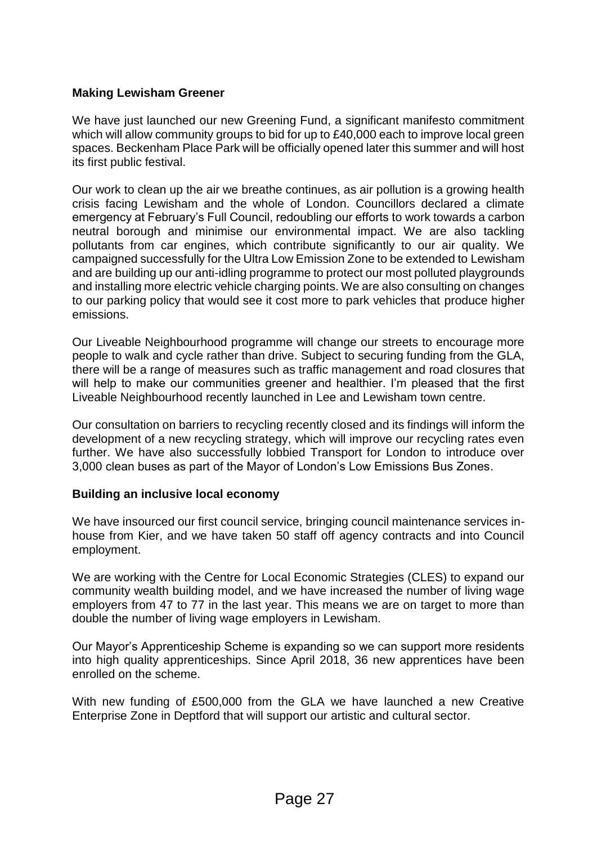#### **Making Lewisham Greener**

We have just launched our new Greening Fund, a significant manifesto commitment which will allow community groups to bid for up to £40,000 each to improve local green spaces. Beckenham Place Park will be officially opened later this summer and will host its first public festival.

Our work to clean up the air we breathe continues, as air pollution is a growing health crisis facing Lewisham and the whole of London. Councillors declared a climate emergency at February's Full Council, redoubling our efforts to work towards a carbon neutral borough and minimise our environmental impact. We are also tackling pollutants from car engines, which contribute significantly to our air quality. We campaigned successfully for the Ultra Low Emission Zone to be extended to Lewisham and are building up our anti-idling programme to protect our most polluted playgrounds and installing more electric vehicle charging points. We are also consulting on changes to our parking policy that would see it cost more to park vehicles that produce higher emissions.

Our Liveable Neighbourhood programme will change our streets to encourage more people to walk and cycle rather than drive. Subject to securing funding from the GLA, there will be a range of measures such as traffic management and road closures that will help to make our communities greener and healthier. I'm pleased that the first Liveable Neighbourhood recently launched in Lee and Lewisham town centre.

Our consultation on barriers to recycling recently closed and its findings will inform the development of a new recycling strategy, which will improve our recycling rates even further. We have also successfully lobbied Transport for London to introduce over 3,000 clean buses as part of the Mayor of London's Low Emissions Bus Zones.

#### **Building an inclusive local economy**

We have insourced our first council service, bringing council maintenance services inhouse from Kier, and we have taken 50 staff off agency contracts and into Council employment.

We are working with the Centre for Local Economic Strategies (CLES) to expand our community wealth building model, and we have increased the number of living wage employers from 47 to 77 in the last year. This means we are on target to more than double the number of living wage employers in Lewisham.

Our Mayor's Apprenticeship Scheme is expanding so we can support more residents into high quality apprenticeships. Since April 2018, 36 new apprentices have been enrolled on the scheme.

With new funding of £500,000 from the GLA we have launched a new Creative Enterprise Zone in Deptford that will support our artistic and cultural sector.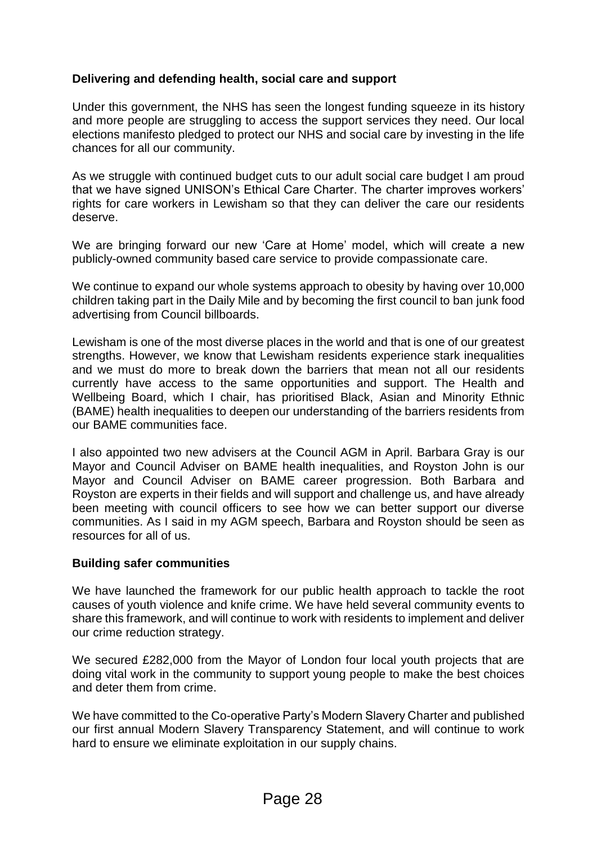#### **Delivering and defending health, social care and support**

Under this government, the NHS has seen the longest funding squeeze in its history and more people are struggling to access the support services they need. Our local elections manifesto pledged to protect our NHS and social care by investing in the life chances for all our community.

As we struggle with continued budget cuts to our adult social care budget I am proud that we have signed UNISON's Ethical Care Charter. The charter improves workers' rights for care workers in Lewisham so that they can deliver the care our residents deserve.

We are bringing forward our new 'Care at Home' model, which will create a new publicly-owned community based care service to provide compassionate care.

We continue to expand our whole systems approach to obesity by having over 10,000 children taking part in the Daily Mile and by becoming the first council to ban junk food advertising from Council billboards.

Lewisham is one of the most diverse places in the world and that is one of our greatest strengths. However, we know that Lewisham residents experience stark inequalities and we must do more to break down the barriers that mean not all our residents currently have access to the same opportunities and support. The Health and Wellbeing Board, which I chair, has prioritised Black, Asian and Minority Ethnic (BAME) health inequalities to deepen our understanding of the barriers residents from our BAME communities face.

I also appointed two new advisers at the Council AGM in April. Barbara Gray is our Mayor and Council Adviser on BAME health inequalities, and Royston John is our Mayor and Council Adviser on BAME career progression. Both Barbara and Royston are experts in their fields and will support and challenge us, and have already been meeting with council officers to see how we can better support our diverse communities. As I said in my AGM speech, Barbara and Royston should be seen as resources for all of us.

#### **Building safer communities**

We have launched the framework for our public health approach to tackle the root causes of youth violence and knife crime. We have held several community events to share this framework, and will continue to work with residents to implement and deliver our crime reduction strategy.

We secured £282,000 from the Mayor of London four local youth projects that are doing vital work in the community to support young people to make the best choices and deter them from crime.

We have committed to the Co-operative Party's Modern Slavery Charter and published our first annual Modern Slavery Transparency Statement, and will continue to work hard to ensure we eliminate exploitation in our supply chains.